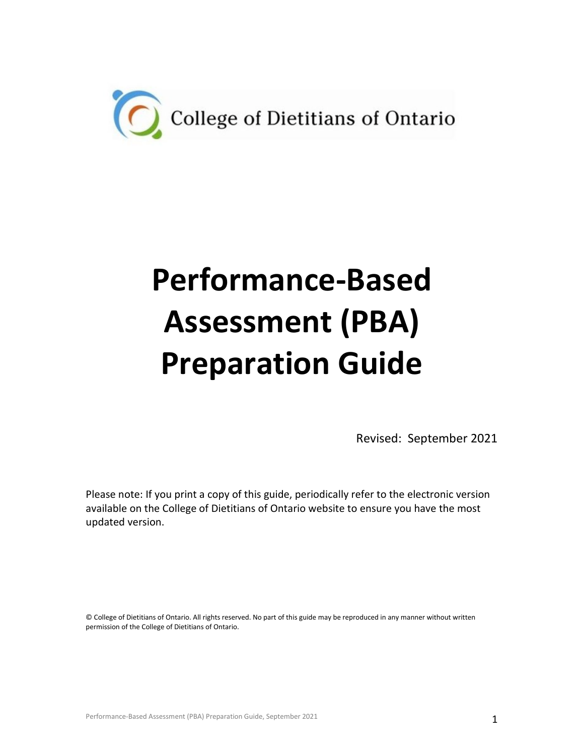

# **Performance-Based Assessment (PBA) Preparation Guide**

Revised: September 2021

Please note: If you print a copy of this guide, periodically refer to the electronic version available on the College of Dietitians of Ontario website to ensure you have the most updated version.

© College of Dietitians of Ontario. All rights reserved. No part of this guide may be reproduced in any manner without written permission of the College of Dietitians of Ontario.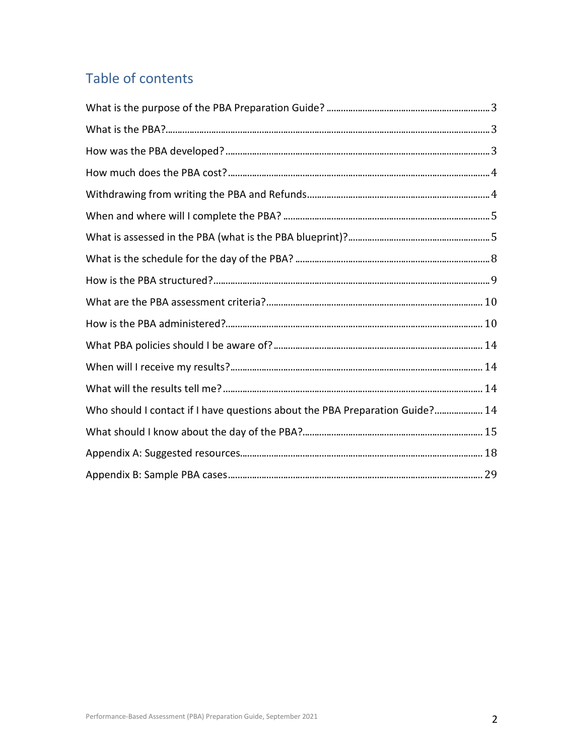## Table of contents

| Who should I contact if I have questions about the PBA Preparation Guide? 14 |  |
|------------------------------------------------------------------------------|--|
|                                                                              |  |
|                                                                              |  |
|                                                                              |  |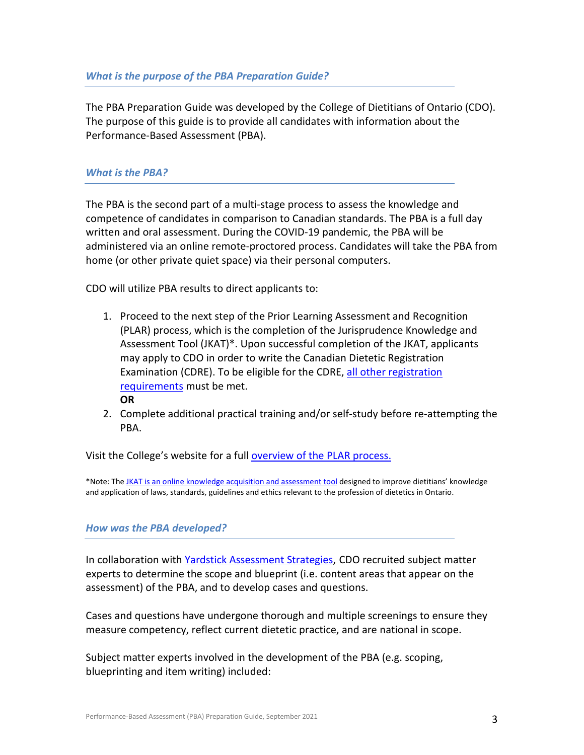<span id="page-2-0"></span>The PBA Preparation Guide was developed by the College of Dietitians of Ontario (CDO). The purpose of this guide is to provide all candidates with information about the Performance-Based Assessment (PBA).

## <span id="page-2-1"></span>*What is the PBA?*

The PBA is the second part of a multi-stage process to assess the knowledge and competence of candidates in comparison to Canadian standards. The PBA is a full day written and oral assessment. During the COVID-19 pandemic, the PBA will be administered via an online remote-proctored process. Candidates will take the PBA from home (or other private quiet space) via their personal computers.

CDO will utilize PBA results to direct applicants to:

- 1. Proceed to the next step of the Prior Learning Assessment and Recognition (PLAR) process, which is the completion of the Jurisprudence Knowledge and Assessment Tool (JKAT)\*. Upon successful completion of the JKAT, applicants may apply to CDO in order to write the Canadian Dietetic Registration Examination (CDRE). To be eligible for the CDRE, [all other registration](https://www.collegeofdietitians.org/applicants/registration-requirements.aspx)  [requirements](https://www.collegeofdietitians.org/applicants/registration-requirements.aspx) must be met. **OR**
- 2. Complete additional practical training and/or self-study before re-attempting the PBA.

Visit the College's website for a full **[overview of the PLAR](https://www.collegeofdietitians.org/applicants/registration-requirements/education-and-training/plar-process.aspx) process.** 

\*Note: Th[e JKAT is an online knowledge acquisition and assessment tool](https://www.collegeofdietitians.org/programs/quality-assurance/jkat.aspx) designed to improve dietitians' knowledge and application of laws, standards, guidelines and ethics relevant to the profession of dietetics in Ontario.

## <span id="page-2-2"></span>*How was the PBA developed?*

In collaboration with [Yardstick Assessment Strategies,](https://www.getyardstick.com/) CDO recruited subject matter experts to determine the scope and blueprint (i.e. content areas that appear on the assessment) of the PBA, and to develop cases and questions.

Cases and questions have undergone thorough and multiple screenings to ensure they measure competency, reflect current dietetic practice, and are national in scope.

Subject matter experts involved in the development of the PBA (e.g. scoping, blueprinting and item writing) included: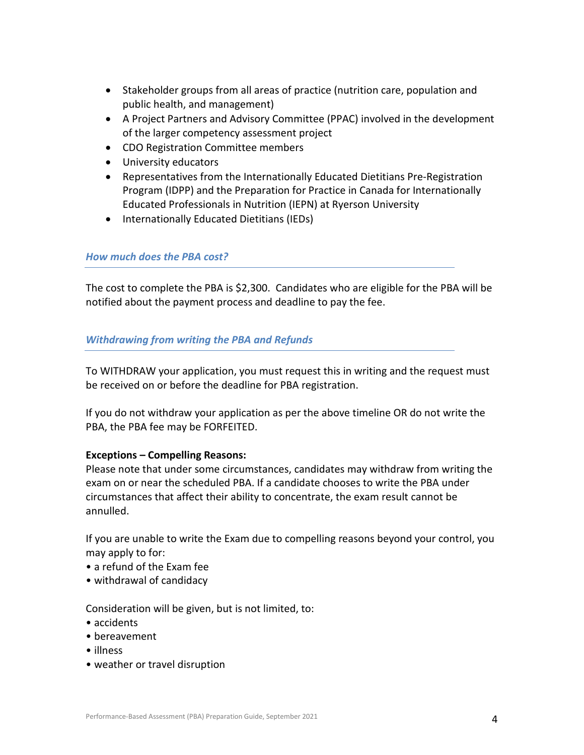- Stakeholder groups from all areas of practice (nutrition care, population and public health, and management)
- A Project Partners and Advisory Committee (PPAC) involved in the development of the larger competency assessment project
- CDO Registration Committee members
- University educators
- Representatives from the Internationally Educated Dietitians Pre-Registration Program (IDPP) and the Preparation for Practice in Canada for Internationally Educated Professionals in Nutrition (IEPN) at Ryerson University
- Internationally Educated Dietitians (IEDs)

## <span id="page-3-0"></span>*How much does the PBA cost?*

The cost to complete the PBA is \$2,300. Candidates who are eligible for the PBA will be notified about the payment process and deadline to pay the fee.

## <span id="page-3-1"></span>*Withdrawing from writing the PBA and Refunds*

To WITHDRAW your application, you must request this in writing and the request must be received on or before the deadline for PBA registration.

If you do not withdraw your application as per the above timeline OR do not write the PBA, the PBA fee may be FORFEITED.

## **Exceptions – Compelling Reasons:**

Please note that under some circumstances, candidates may withdraw from writing the exam on or near the scheduled PBA. If a candidate chooses to write the PBA under circumstances that affect their ability to concentrate, the exam result cannot be annulled.

If you are unable to write the Exam due to compelling reasons beyond your control, you may apply to for:

- a refund of the Exam fee
- withdrawal of candidacy

Consideration will be given, but is not limited, to:

- accidents
- bereavement
- illness
- weather or travel disruption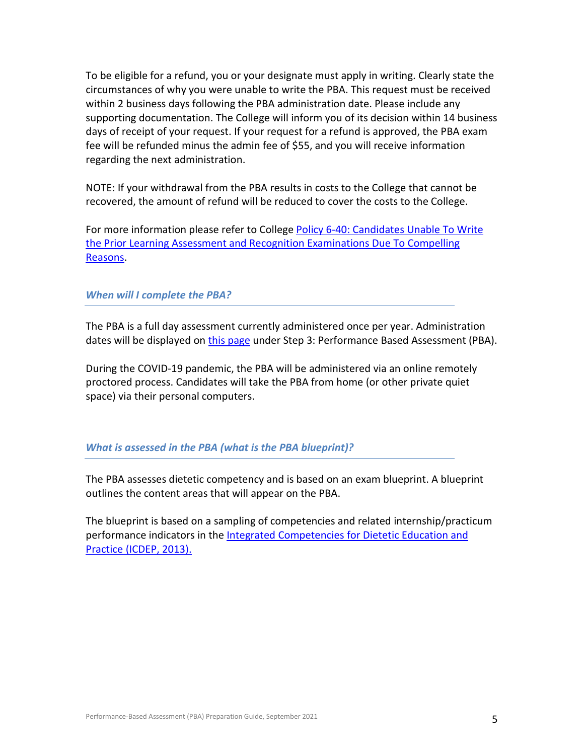To be eligible for a refund, you or your designate must apply in writing. Clearly state the circumstances of why you were unable to write the PBA. This request must be received within 2 business days following the PBA administration date. Please include any supporting documentation. The College will inform you of its decision within 14 business days of receipt of your request. If your request for a refund is approved, the PBA exam fee will be refunded minus the admin fee of \$55, and you will receive information regarding the next administration.

NOTE: If your withdrawal from the PBA results in costs to the College that cannot be recovered, the amount of refund will be reduced to cover the costs to the College.

For more information please refer to College Policy 6-40: Candidates Unable To Write [the Prior Learning Assessment and Recognition Examinations Due To Compelling](https://www.collegeofdietitians.org/programs/registration/plar-policies.aspx)  [Reasons.](https://www.collegeofdietitians.org/programs/registration/plar-policies.aspx)

## <span id="page-4-0"></span>*When will I complete the PBA?*

The PBA is a full day assessment currently administered once per year. Administration dates will be displayed on [this page](https://www.collegeofdietitians.org/applicants/registration-requirements/education-and-training/plar-process.aspx) under Step 3: Performance Based Assessment (PBA).

During the COVID-19 pandemic, the PBA will be administered via an online remotely proctored process. Candidates will take the PBA from home (or other private quiet space) via their personal computers.

#### <span id="page-4-1"></span>*What is assessed in the PBA (what is the PBA blueprint)?*

The PBA assesses dietetic competency and is based on an exam blueprint. A blueprint outlines the content areas that will appear on the PBA.

The blueprint is based on a sampling of competencies and related internship/practicum performance indicators in th[e Integrated Competencies for Dietetic Education and](https://www.pdep.ca/library/Accreditation-Policies-and-Standards/PDEP-ICDEP-2013-.aspx)  Practice [\(ICDEP, 2013\).](https://www.pdep.ca/library/Accreditation-Policies-and-Standards/PDEP-ICDEP-2013-.aspx)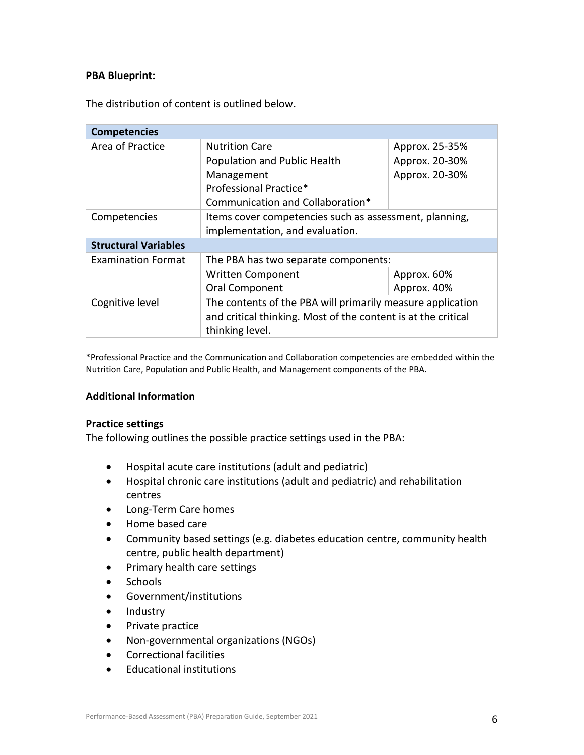## **PBA Blueprint:**

The distribution of content is outlined below.

| <b>Competencies</b>         |                                                                                                                                                |                |
|-----------------------------|------------------------------------------------------------------------------------------------------------------------------------------------|----------------|
| Area of Practice            | <b>Nutrition Care</b><br>Approx. 25-35%                                                                                                        |                |
|                             | Population and Public Health                                                                                                                   | Approx. 20-30% |
|                             | Management                                                                                                                                     | Approx. 20-30% |
|                             | Professional Practice*                                                                                                                         |                |
|                             | Communication and Collaboration*                                                                                                               |                |
| Competencies                | Items cover competencies such as assessment, planning,                                                                                         |                |
|                             | implementation, and evaluation.                                                                                                                |                |
| <b>Structural Variables</b> |                                                                                                                                                |                |
| <b>Examination Format</b>   | The PBA has two separate components:                                                                                                           |                |
|                             | Written Component                                                                                                                              | Approx. 60%    |
|                             | Oral Component                                                                                                                                 | Approx. 40%    |
| Cognitive level             | The contents of the PBA will primarily measure application<br>and critical thinking. Most of the content is at the critical<br>thinking level. |                |

\*Professional Practice and the Communication and Collaboration competencies are embedded within the Nutrition Care, Population and Public Health, and Management components of the PBA.

#### **Additional Information**

#### **Practice settings**

The following outlines the possible practice settings used in the PBA:

- Hospital acute care institutions (adult and pediatric)
- Hospital chronic care institutions (adult and pediatric) and rehabilitation centres
- Long-Term Care homes
- Home based care
- Community based settings (e.g. diabetes education centre, community health centre, public health department)
- Primary health care settings
- **Schools**
- Government/institutions
- Industry
- Private practice
- Non-governmental organizations (NGOs)
- Correctional facilities
- Educational institutions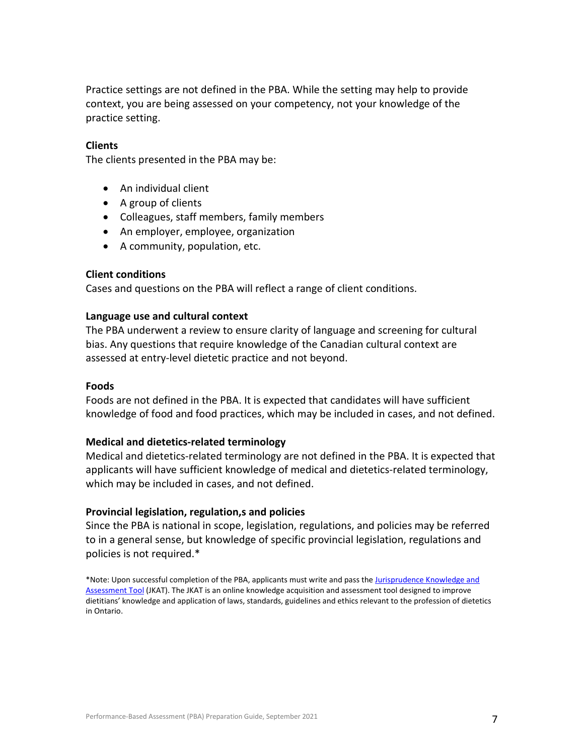Practice settings are not defined in the PBA. While the setting may help to provide context, you are being assessed on your competency, not your knowledge of the practice setting.

#### **Clients**

The clients presented in the PBA may be:

- An individual client
- A group of clients
- Colleagues, staff members, family members
- An employer, employee, organization
- A community, population, etc.

#### **Client conditions**

Cases and questions on the PBA will reflect a range of client conditions.

#### **Language use and cultural context**

The PBA underwent a review to ensure clarity of language and screening for cultural bias. Any questions that require knowledge of the Canadian cultural context are assessed at entry-level dietetic practice and not beyond.

#### **Foods**

Foods are not defined in the PBA. It is expected that candidates will have sufficient knowledge of food and food practices, which may be included in cases, and not defined.

#### **Medical and dietetics-related terminology**

Medical and dietetics-related terminology are not defined in the PBA. It is expected that applicants will have sufficient knowledge of medical and dietetics-related terminology, which may be included in cases, and not defined.

#### **Provincial legislation, regulation,s and policies**

Since the PBA is national in scope, legislation, regulations, and policies may be referred to in a general sense, but knowledge of specific provincial legislation, regulations and policies is not required.\*

<span id="page-6-0"></span>\*Note: Upon successful completion of the PBA, applicants must write and pass th[e Jurisprudence Knowledge and](https://www.collegeofdietitians.org/Web/Members/Quality-Assurance/Jurisprudence-Knowledge-Assessment-Tool-(JKAT).aspx)  [Assessment Tool](https://www.collegeofdietitians.org/Web/Members/Quality-Assurance/Jurisprudence-Knowledge-Assessment-Tool-(JKAT).aspx) (JKAT). The JKAT is an online knowledge acquisition and assessment tool designed to improve dietitians' knowledge and application of laws, standards, guidelines and ethics relevant to the profession of dietetics in Ontario.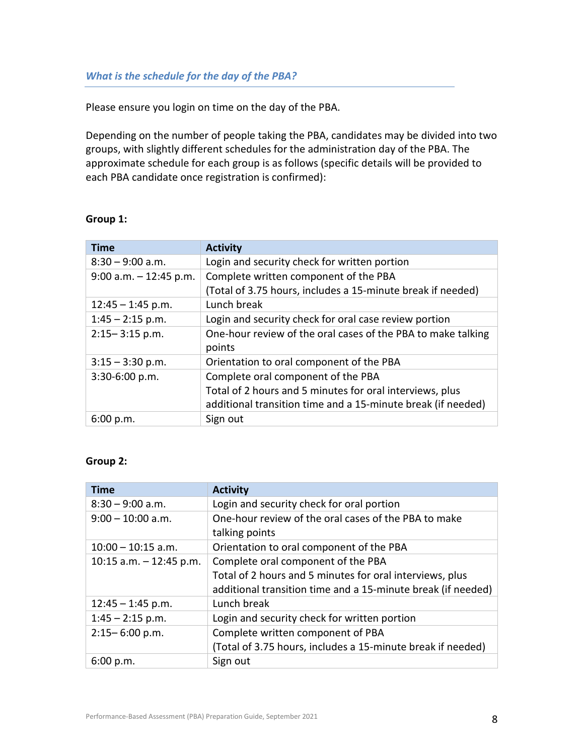Please ensure you login on time on the day of the PBA.

Depending on the number of people taking the PBA, candidates may be divided into two groups, with slightly different schedules for the administration day of the PBA. The approximate schedule for each group is as follows (specific details will be provided to each PBA candidate once registration is confirmed):

#### **Group 1:**

| <b>Time</b>               | <b>Activity</b>                                              |
|---------------------------|--------------------------------------------------------------|
| $8:30 - 9:00$ a.m.        | Login and security check for written portion                 |
| $9:00$ a.m. $-12:45$ p.m. | Complete written component of the PBA                        |
|                           | (Total of 3.75 hours, includes a 15-minute break if needed)  |
| $12:45 - 1:45$ p.m.       | Lunch break                                                  |
| $1:45 - 2:15$ p.m.        | Login and security check for oral case review portion        |
| $2:15 - 3:15$ p.m.        | One-hour review of the oral cases of the PBA to make talking |
|                           | points                                                       |
| $3:15 - 3:30$ p.m.        | Orientation to oral component of the PBA                     |
| 3:30-6:00 p.m.            | Complete oral component of the PBA                           |
|                           | Total of 2 hours and 5 minutes for oral interviews, plus     |
|                           | additional transition time and a 15-minute break (if needed) |
| 6:00 p.m.                 | Sign out                                                     |

#### **Group 2:**

| <b>Time</b>               | <b>Activity</b>                                                        |
|---------------------------|------------------------------------------------------------------------|
| $8:30 - 9:00$ a.m.        | Login and security check for oral portion                              |
| $9:00 - 10:00$ a.m.       | One-hour review of the oral cases of the PBA to make<br>talking points |
| $10:00 - 10:15$ a.m.      | Orientation to oral component of the PBA                               |
| 10:15 a.m. $-$ 12:45 p.m. | Complete oral component of the PBA                                     |
|                           | Total of 2 hours and 5 minutes for oral interviews, plus               |
|                           | additional transition time and a 15-minute break (if needed)           |
| $12:45 - 1:45$ p.m.       | Lunch break                                                            |
| $1:45 - 2:15$ p.m.        | Login and security check for written portion                           |
| $2:15 - 6:00$ p.m.        | Complete written component of PBA                                      |
|                           | (Total of 3.75 hours, includes a 15-minute break if needed)            |
| 6:00 p.m.                 | Sign out                                                               |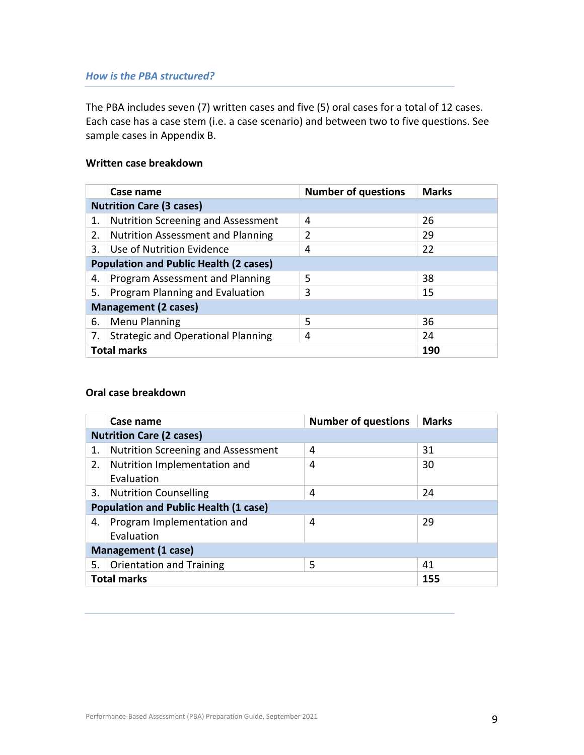## <span id="page-8-0"></span>*How is the PBA structured?*

The PBA includes seven (7) written cases and five (5) oral cases for a total of 12 cases. Each case has a case stem (i.e. a case scenario) and between two to five questions. See sample cases in Appendix B.

## **Written case breakdown**

|                                               | Case name                                 | <b>Number of questions</b> | <b>Marks</b> |
|-----------------------------------------------|-------------------------------------------|----------------------------|--------------|
|                                               | <b>Nutrition Care (3 cases)</b>           |                            |              |
| 1.                                            | <b>Nutrition Screening and Assessment</b> | 4                          | 26           |
| 2.                                            | <b>Nutrition Assessment and Planning</b>  | 2                          | 29           |
| 3.                                            | Use of Nutrition Evidence                 | 4                          | 22           |
| <b>Population and Public Health (2 cases)</b> |                                           |                            |              |
| 4.                                            | Program Assessment and Planning           | 5                          | 38           |
| 5.                                            | Program Planning and Evaluation           | 3                          | 15           |
|                                               | <b>Management (2 cases)</b>               |                            |              |
| 6.                                            | <b>Menu Planning</b>                      | 5                          | 36           |
| 7.                                            | <b>Strategic and Operational Planning</b> | 4                          | 24           |
|                                               | <b>Total marks</b><br>190                 |                            |              |

## **Oral case breakdown**

<span id="page-8-1"></span>

|                            | Case name                                    | <b>Number of questions</b> | <b>Marks</b> |
|----------------------------|----------------------------------------------|----------------------------|--------------|
|                            | <b>Nutrition Care (2 cases)</b>              |                            |              |
| 1.                         | <b>Nutrition Screening and Assessment</b>    | 4                          | 31           |
| 2.                         | Nutrition Implementation and                 | 4                          | 30           |
|                            | Evaluation                                   |                            |              |
| 3.                         | <b>Nutrition Counselling</b>                 | 4                          | 24           |
|                            | <b>Population and Public Health (1 case)</b> |                            |              |
| 4.                         | Program Implementation and                   | 4                          | 29           |
|                            | Evaluation                                   |                            |              |
| <b>Management (1 case)</b> |                                              |                            |              |
| 5.                         | <b>Orientation and Training</b>              | 5                          | 41           |
|                            | <b>Total marks</b><br>155                    |                            |              |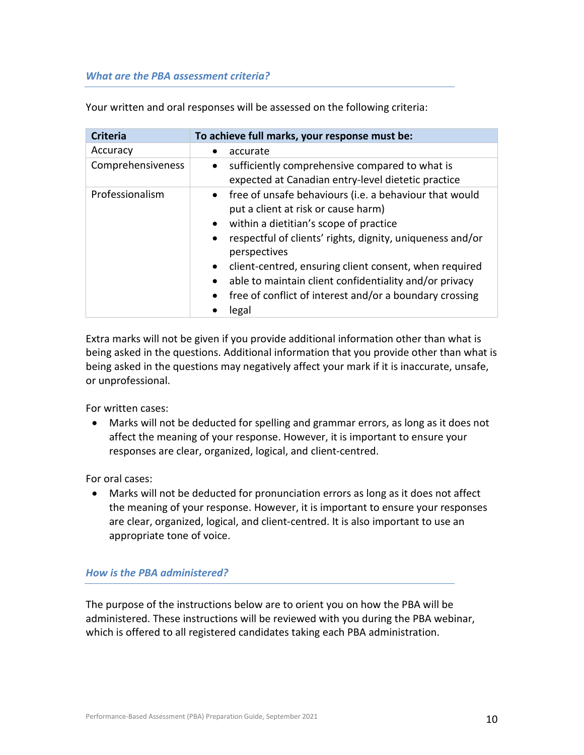#### *What are the PBA assessment criteria?*

Your written and oral responses will be assessed on the following criteria:

| <b>Criteria</b>   | To achieve full marks, your response must be:                                                                                                                                                                                                                                                                                                                                                                                                                      |
|-------------------|--------------------------------------------------------------------------------------------------------------------------------------------------------------------------------------------------------------------------------------------------------------------------------------------------------------------------------------------------------------------------------------------------------------------------------------------------------------------|
| Accuracy          | accurate                                                                                                                                                                                                                                                                                                                                                                                                                                                           |
| Comprehensiveness | sufficiently comprehensive compared to what is<br>$\bullet$<br>expected at Canadian entry-level dietetic practice                                                                                                                                                                                                                                                                                                                                                  |
| Professionalism   | • free of unsafe behaviours (i.e. a behaviour that would<br>put a client at risk or cause harm)<br>within a dietitian's scope of practice<br>$\bullet$<br>respectful of clients' rights, dignity, uniqueness and/or<br>$\bullet$<br>perspectives<br>client-centred, ensuring client consent, when required<br>$\bullet$<br>able to maintain client confidentiality and/or privacy<br>free of conflict of interest and/or a boundary crossing<br>$\bullet$<br>legal |

Extra marks will not be given if you provide additional information other than what is being asked in the questions. Additional information that you provide other than what is being asked in the questions may negatively affect your mark if it is inaccurate, unsafe, or unprofessional.

For written cases:

• Marks will not be deducted for spelling and grammar errors, as long as it does not affect the meaning of your response. However, it is important to ensure your responses are clear, organized, logical, and client-centred.

For oral cases:

• Marks will not be deducted for pronunciation errors as long as it does not affect the meaning of your response. However, it is important to ensure your responses are clear, organized, logical, and client-centred. It is also important to use an appropriate tone of voice.

## <span id="page-9-0"></span>*How is the PBA administered?*

The purpose of the instructions below are to orient you on how the PBA will be administered. These instructions will be reviewed with you during the PBA webinar, which is offered to all registered candidates taking each PBA administration.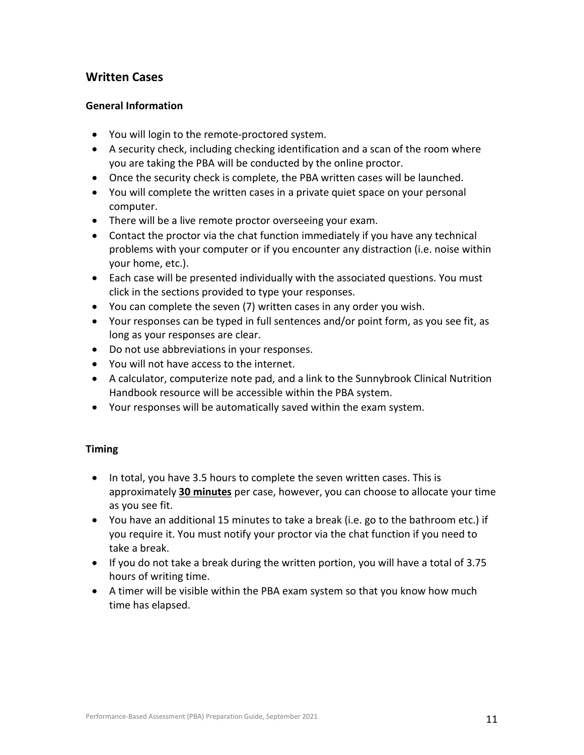## **Written Cases**

## **General Information**

- You will login to the remote-proctored system.
- A security check, including checking identification and a scan of the room where you are taking the PBA will be conducted by the online proctor.
- Once the security check is complete, the PBA written cases will be launched.
- You will complete the written cases in a private quiet space on your personal computer.
- There will be a live remote proctor overseeing your exam.
- Contact the proctor via the chat function immediately if you have any technical problems with your computer or if you encounter any distraction (i.e. noise within your home, etc.).
- Each case will be presented individually with the associated questions. You must click in the sections provided to type your responses.
- You can complete the seven (7) written cases in any order you wish.
- Your responses can be typed in full sentences and/or point form, as you see fit, as long as your responses are clear.
- Do not use abbreviations in your responses.
- You will not have access to the internet.
- A calculator, computerize note pad, and a link to the Sunnybrook Clinical Nutrition Handbook resource will be accessible within the PBA system.
- Your responses will be automatically saved within the exam system.

## **Timing**

- In total, you have 3.5 hours to complete the seven written cases. This is approximately **30 minutes** per case, however, you can choose to allocate your time as you see fit.
- You have an additional 15 minutes to take a break (i.e. go to the bathroom etc.) if you require it. You must notify your proctor via the chat function if you need to take a break.
- If you do not take a break during the written portion, you will have a total of 3.75 hours of writing time.
- A timer will be visible within the PBA exam system so that you know how much time has elapsed.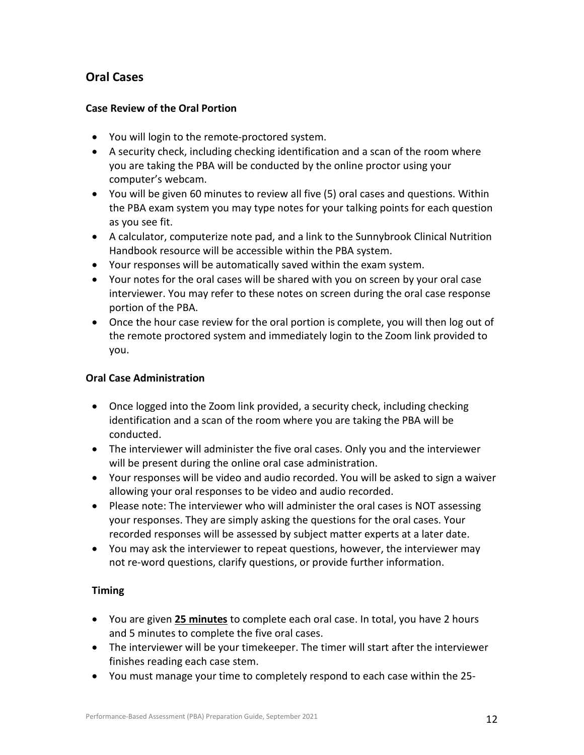## **Oral Cases**

## **Case Review of the Oral Portion**

- You will login to the remote-proctored system.
- A security check, including checking identification and a scan of the room where you are taking the PBA will be conducted by the online proctor using your computer's webcam.
- You will be given 60 minutes to review all five (5) oral cases and questions. Within the PBA exam system you may type notes for your talking points for each question as you see fit.
- A calculator, computerize note pad, and a link to the Sunnybrook Clinical Nutrition Handbook resource will be accessible within the PBA system.
- Your responses will be automatically saved within the exam system.
- Your notes for the oral cases will be shared with you on screen by your oral case interviewer. You may refer to these notes on screen during the oral case response portion of the PBA.
- Once the hour case review for the oral portion is complete, you will then log out of the remote proctored system and immediately login to the Zoom link provided to you.

## **Oral Case Administration**

- Once logged into the Zoom link provided, a security check, including checking identification and a scan of the room where you are taking the PBA will be conducted.
- The interviewer will administer the five oral cases. Only you and the interviewer will be present during the online oral case administration.
- Your responses will be video and audio recorded. You will be asked to sign a waiver allowing your oral responses to be video and audio recorded.
- Please note: The interviewer who will administer the oral cases is NOT assessing your responses. They are simply asking the questions for the oral cases. Your recorded responses will be assessed by subject matter experts at a later date.
- You may ask the interviewer to repeat questions, however, the interviewer may not re-word questions, clarify questions, or provide further information.

## **Timing**

- You are given **25 minutes** to complete each oral case. In total, you have 2 hours and 5 minutes to complete the five oral cases.
- The interviewer will be your timekeeper. The timer will start after the interviewer finishes reading each case stem.
- You must manage your time to completely respond to each case within the 25-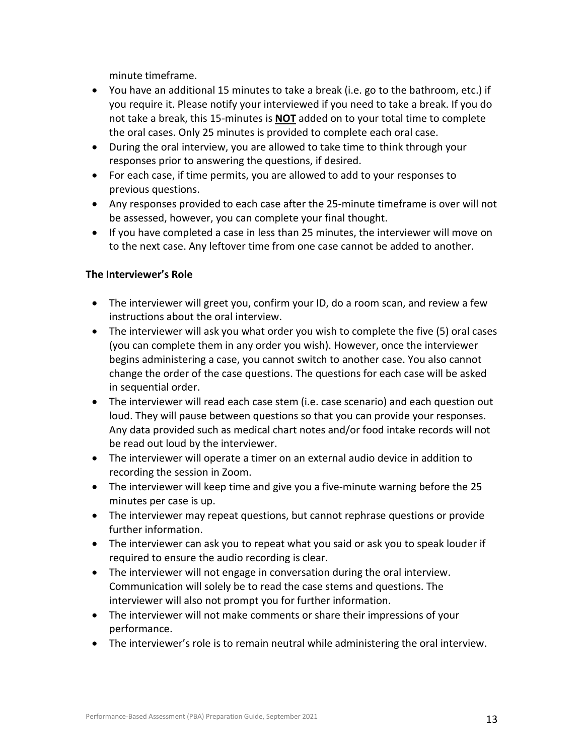minute timeframe.

- You have an additional 15 minutes to take a break (i.e. go to the bathroom, etc.) if you require it. Please notify your interviewed if you need to take a break. If you do not take a break, this 15-minutes is **NOT** added on to your total time to complete the oral cases. Only 25 minutes is provided to complete each oral case.
- During the oral interview, you are allowed to take time to think through your responses prior to answering the questions, if desired.
- For each case, if time permits, you are allowed to add to your responses to previous questions.
- Any responses provided to each case after the 25-minute timeframe is over will not be assessed, however, you can complete your final thought.
- If you have completed a case in less than 25 minutes, the interviewer will move on to the next case. Any leftover time from one case cannot be added to another.

## **The Interviewer's Role**

- The interviewer will greet you, confirm your ID, do a room scan, and review a few instructions about the oral interview.
- The interviewer will ask you what order you wish to complete the five (5) oral cases (you can complete them in any order you wish). However, once the interviewer begins administering a case, you cannot switch to another case. You also cannot change the order of the case questions. The questions for each case will be asked in sequential order.
- The interviewer will read each case stem (i.e. case scenario) and each question out loud. They will pause between questions so that you can provide your responses. Any data provided such as medical chart notes and/or food intake records will not be read out loud by the interviewer.
- The interviewer will operate a timer on an external audio device in addition to recording the session in Zoom.
- The interviewer will keep time and give you a five-minute warning before the 25 minutes per case is up.
- The interviewer may repeat questions, but cannot rephrase questions or provide further information.
- The interviewer can ask you to repeat what you said or ask you to speak louder if required to ensure the audio recording is clear.
- The interviewer will not engage in conversation during the oral interview. Communication will solely be to read the case stems and questions. The interviewer will also not prompt you for further information.
- The interviewer will not make comments or share their impressions of your performance.
- <span id="page-12-0"></span>• The interviewer's role is to remain neutral while administering the oral interview.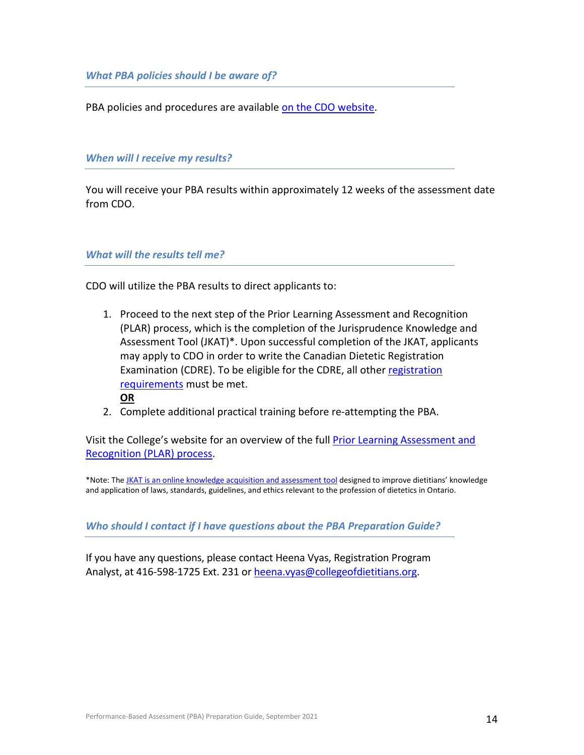*What PBA policies should I be aware of?*

<span id="page-13-0"></span>PBA policies and procedures are available [on the CDO website.](http://www.collegeofdietitians.org/programs/registration/plar-policies.aspx)

*When will I receive my results?*

<span id="page-13-1"></span>You will receive your PBA results within approximately 12 weeks of the assessment date from CDO.

#### *What will the results tell me?*

CDO will utilize the PBA results to direct applicants to:

- 1. Proceed to the next step of the Prior Learning Assessment and Recognition (PLAR) process, which is the completion of the Jurisprudence Knowledge and Assessment Tool (JKAT)\*. Upon successful completion of the JKAT, applicants may apply to CDO in order to write the Canadian Dietetic Registration Examination (CDRE). To be eligible for the CDRE, all other registration [requirements](http://www.collegeofdietitians.org/applicants/registration-requirements.aspx) must be met.
	- **OR**
- 2. Complete additional practical training before re-attempting the PBA.

Visit the College's website for an overview of the full [Prior Learning Assessment and](http://www.collegeofdietitians.org/applicants/registration-requirements/education-and-training/plar-process.aspx)  [Recognition \(PLAR\)](http://www.collegeofdietitians.org/applicants/registration-requirements/education-and-training/plar-process.aspx) process.

\*Note: Th[e JKAT is an online knowledge acquisition and assessment tool](https://www.collegeofdietitians.org/programs/practice-advisory-program/professional-practice-resources.aspx) designed to improve dietitians' knowledge and application of laws, standards, guidelines, and ethics relevant to the profession of dietetics in Ontario.

<span id="page-13-2"></span>*Who should I contact if I have questions about the PBA Preparation Guide?*

If you have any questions, please contact Heena Vyas, Registration Program Analyst, at 416-598-1725 Ext. 231 or [heena.vyas@collegeofdietitians.org.](mailto:heena.vyas@collegeofdietitians.org)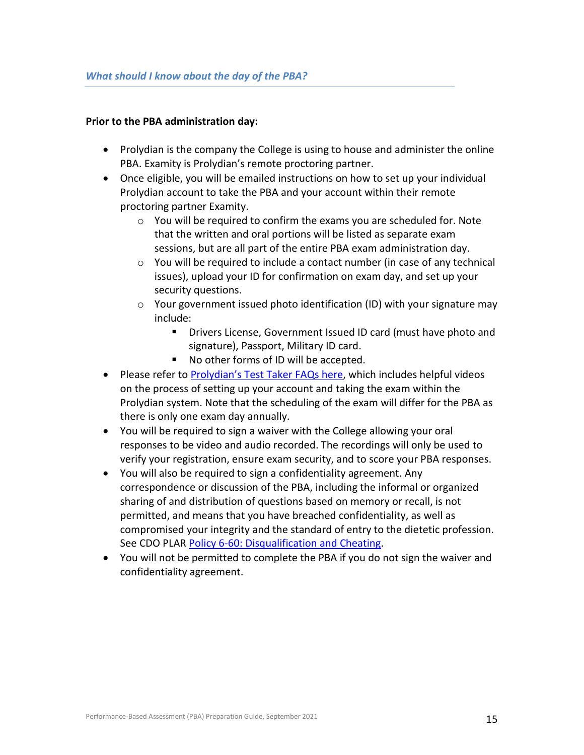#### <span id="page-14-0"></span>**Prior to the PBA administration day:**

- Prolydian is the company the College is using to house and administer the online PBA. Examity is Prolydian's remote proctoring partner.
- Once eligible, you will be emailed instructions on how to set up your individual Prolydian account to take the PBA and your account within their remote proctoring partner Examity.
	- o You will be required to confirm the exams you are scheduled for. Note that the written and oral portions will be listed as separate exam sessions, but are all part of the entire PBA exam administration day.
	- o You will be required to include a contact number (in case of any technical issues), upload your ID for confirmation on exam day, and set up your security questions.
	- $\circ$  Your government issued photo identification (ID) with your signature may include:
		- **Drivers License, Government Issued ID card (must have photo and ID** signature), Passport, Military ID card.
		- No other forms of ID will be accepted.
- Please refer to [Prolydian's Test Taker FAQs here,](https://www.prolydian.com/test-taker-faqs) which includes helpful videos on the process of setting up your account and taking the exam within the Prolydian system. Note that the scheduling of the exam will differ for the PBA as there is only one exam day annually.
- You will be required to sign a waiver with the College allowing your oral responses to be video and audio recorded. The recordings will only be used to verify your registration, ensure exam security, and to score your PBA responses.
- You will also be required to sign a confidentiality agreement. Any correspondence or discussion of the PBA, including the informal or organized sharing of and distribution of questions based on memory or recall, is not permitted, and means that you have breached confidentiality, as well as compromised your integrity and the standard of entry to the dietetic profession. See CDO PLAR Policy 6-60: [Disqualification and Cheating.](https://www.collegeofdietitians.org/programs/registration/plar-policies.aspx)
- You will not be permitted to complete the PBA if you do not sign the waiver and confidentiality agreement.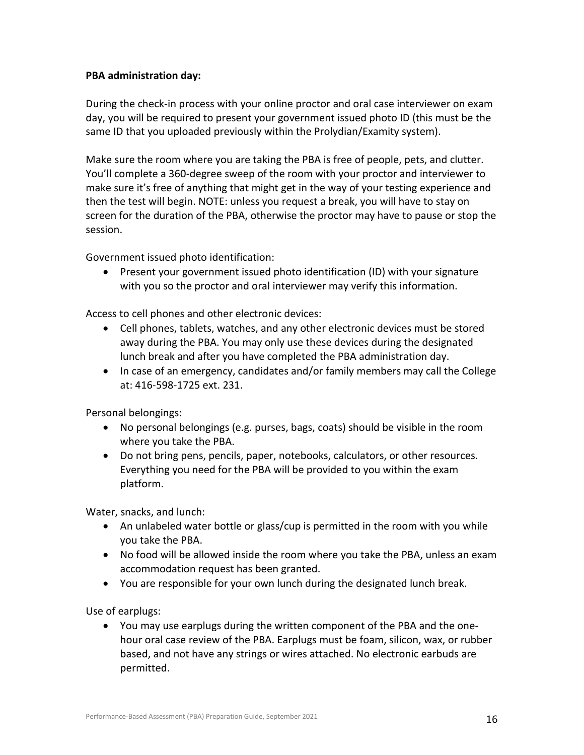## **PBA administration day:**

During the check-in process with your online proctor and oral case interviewer on exam day, you will be required to present your government issued photo ID (this must be the same ID that you uploaded previously within the Prolydian/Examity system).

Make sure the room where you are taking the PBA is free of people, pets, and clutter. You'll complete a 360-degree sweep of the room with your proctor and interviewer to make sure it's free of anything that might get in the way of your testing experience and then the test will begin. NOTE: unless you request a break, you will have to stay on screen for the duration of the PBA, otherwise the proctor may have to pause or stop the session.

Government issued photo identification:

• Present your government issued photo identification (ID) with your signature with you so the proctor and oral interviewer may verify this information.

Access to cell phones and other electronic devices:

- Cell phones, tablets, watches, and any other electronic devices must be stored away during the PBA. You may only use these devices during the designated lunch break and after you have completed the PBA administration day.
- In case of an emergency, candidates and/or family members may call the College at: 416-598-1725 ext. 231.

Personal belongings:

- No personal belongings (e.g. purses, bags, coats) should be visible in the room where you take the PBA.
- Do not bring pens, pencils, paper, notebooks, calculators, or other resources. Everything you need for the PBA will be provided to you within the exam platform.

Water, snacks, and lunch:

- An unlabeled water bottle or glass/cup is permitted in the room with you while you take the PBA.
- No food will be allowed inside the room where you take the PBA, unless an exam accommodation request has been granted.
- You are responsible for your own lunch during the designated lunch break.

Use of earplugs:

• You may use earplugs during the written component of the PBA and the onehour oral case review of the PBA. Earplugs must be foam, silicon, wax, or rubber based, and not have any strings or wires attached. No electronic earbuds are permitted.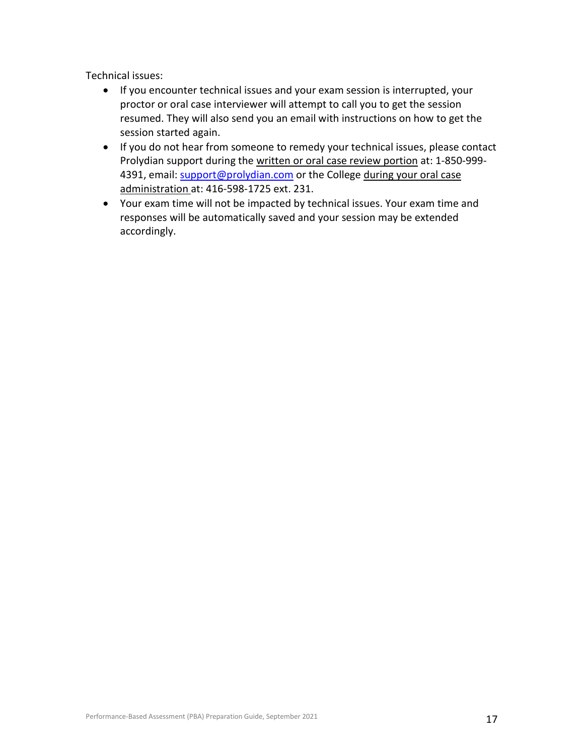Technical issues:

- If you encounter technical issues and your exam session is interrupted, your proctor or oral case interviewer will attempt to call you to get the session resumed. They will also send you an email with instructions on how to get the session started again.
- If you do not hear from someone to remedy your technical issues, please contact Prolydian support during the written or oral case review portion at: 1-850-9994391, email: [support@prolydian.com](mailto:support@prolydian.com) or the College during your oral case administration at: 416-598-1725 ext. 231.
- <span id="page-16-0"></span>• Your exam time will not be impacted by technical issues. Your exam time and responses will be automatically saved and your session may be extended accordingly.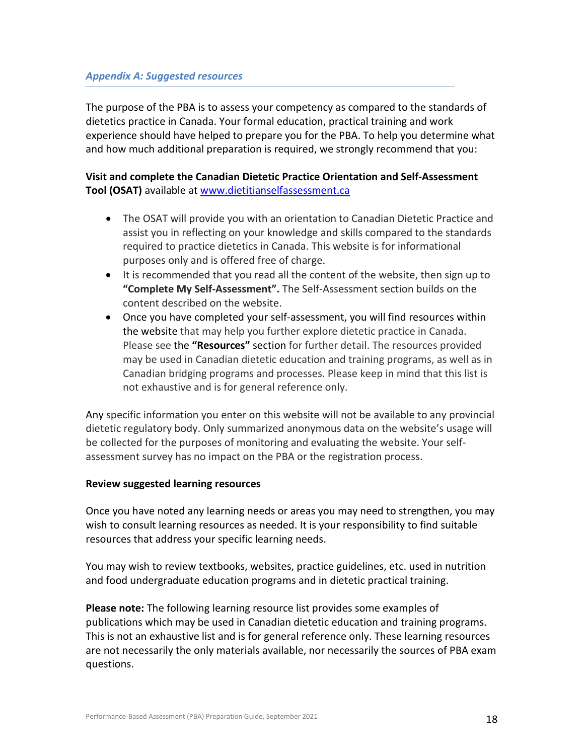## *Appendix A: Suggested resources*

The purpose of the PBA is to assess your competency as compared to the standards of dietetics practice in Canada. Your formal education, practical training and work experience should have helped to prepare you for the PBA. To help you determine what and how much additional preparation is required, we strongly recommend that you:

## **Visit and complete the Canadian Dietetic Practice Orientation and Self-Assessment Tool (OSAT)** available at [www.dietitianselfassessment.ca](http://www.dietitianselfassessment.ca/)

- The OSAT will provide you with an orientation to Canadian Dietetic Practice and assist you in reflecting on your knowledge and skills compared to the standards required to practice dietetics in Canada. This website is for informational purposes only and is offered free of charge.
- It is recommended that you read all the content of the website, then sign up to **"Complete My Self-Assessment".** The Self-Assessment section builds on the content described on the website.
- Once you have completed your self-assessment, you will find resources within the website that may help you further explore dietetic practice in Canada. Please see the **"Resources"** section for further detail. The resources provided may be used in Canadian dietetic education and training programs, as well as in Canadian bridging programs and processes. Please keep in mind that this list is not exhaustive and is for general reference only.

Any specific information you enter on this website will not be available to any provincial dietetic regulatory body. Only summarized anonymous data on the website's usage will be collected for the purposes of monitoring and evaluating the website. Your selfassessment survey has no impact on the PBA or the registration process.

#### **Review suggested learning resources**

Once you have noted any learning needs or areas you may need to strengthen, you may wish to consult learning resources as needed. It is your responsibility to find suitable resources that address your specific learning needs.

You may wish to review textbooks, websites, practice guidelines, etc. used in nutrition and food undergraduate education programs and in dietetic practical training.

**Please note:** The following learning resource list provides some examples of publications which may be used in Canadian dietetic education and training programs. This is not an exhaustive list and is for general reference only. These learning resources are not necessarily the only materials available, nor necessarily the sources of PBA exam questions.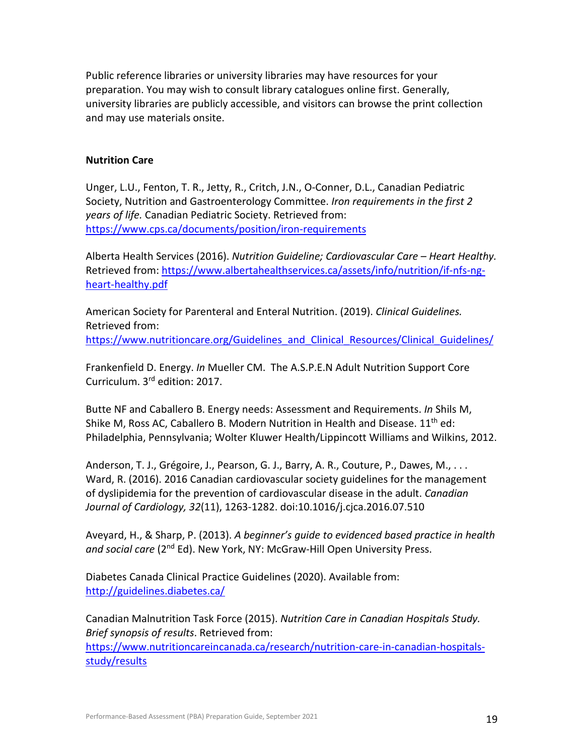Public reference libraries or university libraries may have resources for your preparation. You may wish to consult library catalogues online first. Generally, university libraries are publicly accessible, and visitors can browse the print collection and may use materials onsite.

#### **Nutrition Care**

Unger, L.U., Fenton, T. R., Jetty, R., Critch, J.N., O-Conner, D.L., Canadian Pediatric Society, Nutrition and Gastroenterology Committee. *Iron requirements in the first 2 years of life.* Canadian Pediatric Society. Retrieved from: <https://www.cps.ca/documents/position/iron-requirements>

Alberta Health Services (2016). *Nutrition Guideline; Cardiovascular Care – Heart Healthy.* Retrieved from: [https://www.albertahealthservices.ca/assets/info/nutrition/if-nfs-ng](https://www.albertahealthservices.ca/assets/info/nutrition/if-nfs-ng-heart-healthy.pdf)[heart-healthy.pdf](https://www.albertahealthservices.ca/assets/info/nutrition/if-nfs-ng-heart-healthy.pdf)

American Society for Parenteral and Enteral Nutrition. (2019). *Clinical Guidelines.* Retrieved from: [https://www.nutritioncare.org/Guidelines\\_and\\_Clinical\\_Resources/Clinical\\_Guidelines/](https://www.nutritioncare.org/Guidelines_and_Clinical_Resources/Clinical_Guidelines/)

Frankenfield D. Energy. *In* Mueller CM. The A.S.P.E.N Adult Nutrition Support Core Curriculum. 3rd edition: 2017.

Butte NF and Caballero B. Energy needs: Assessment and Requirements. *In* Shils M, Shike M, Ross AC, Caballero B. Modern Nutrition in Health and Disease.  $11<sup>th</sup>$  ed: Philadelphia, Pennsylvania; Wolter Kluwer Health/Lippincott Williams and Wilkins, 2012.

Anderson, T. J., Grégoire, J., Pearson, G. J., Barry, A. R., Couture, P., Dawes, M., . . . Ward, R. (2016). 2016 Canadian cardiovascular society guidelines for the management of dyslipidemia for the prevention of cardiovascular disease in the adult. *Canadian Journal of Cardiology, 32*(11), 1263-1282. doi:10.1016/j.cjca.2016.07.510

Aveyard, H., & Sharp, P. (2013). *A beginner's guide to evidenced based practice in health*  and social care (2<sup>nd</sup> Ed). New York, NY: McGraw-Hill Open University Press.

Diabetes Canada Clinical Practice Guidelines (2020). Available from: <http://guidelines.diabetes.ca/>

Canadian Malnutrition Task Force (2015). *Nutrition Care in Canadian Hospitals Study. Brief synopsis of results*. Retrieved from:

[https://www.nutritioncareincanada.ca/research/nutrition-care-in-canadian-hospitals](https://www.nutritioncareincanada.ca/research/nutrition-care-in-canadian-hospitals-study/results)[study/results](https://www.nutritioncareincanada.ca/research/nutrition-care-in-canadian-hospitals-study/results)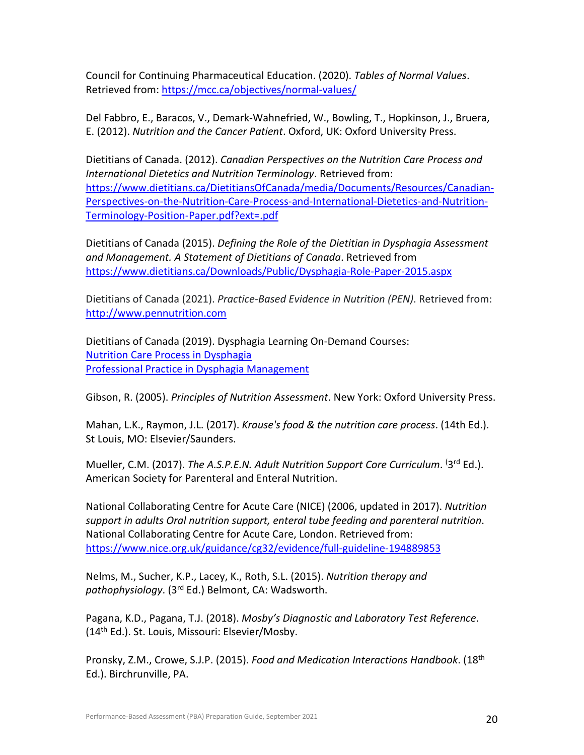Council for Continuing Pharmaceutical Education. (2020). *Tables of Normal Values*. Retrieved from: <https://mcc.ca/objectives/normal-values/>

Del Fabbro, E., Baracos, V., Demark-Wahnefried, W., Bowling, T., Hopkinson, J., Bruera, E. (2012). *Nutrition and the Cancer Patient*. Oxford, UK: Oxford University Press.

Dietitians of Canada. (2012). *Canadian Perspectives on the Nutrition Care Process and International Dietetics and Nutrition Terminology*. Retrieved from: [https://www.dietitians.ca/DietitiansOfCanada/media/Documents/Resources/Canadian-](https://www.dietitians.ca/DietitiansOfCanada/media/Documents/Resources/Canadian-Perspectives-on-the-Nutrition-Care-Process-and-International-Dietetics-and-Nutrition-Terminology-Position-Paper.pdf?ext=.pdf)[Perspectives-on-the-Nutrition-Care-Process-and-International-Dietetics-and-Nutrition-](https://www.dietitians.ca/DietitiansOfCanada/media/Documents/Resources/Canadian-Perspectives-on-the-Nutrition-Care-Process-and-International-Dietetics-and-Nutrition-Terminology-Position-Paper.pdf?ext=.pdf)[Terminology-Position-Paper.pdf?ext=.pdf](https://www.dietitians.ca/DietitiansOfCanada/media/Documents/Resources/Canadian-Perspectives-on-the-Nutrition-Care-Process-and-International-Dietetics-and-Nutrition-Terminology-Position-Paper.pdf?ext=.pdf)

Dietitians of Canada (2015). *Defining the Role of the Dietitian in Dysphagia Assessment and Management. A Statement of Dietitians of Canada*. Retrieved from <https://www.dietitians.ca/Downloads/Public/Dysphagia-Role-Paper-2015.aspx>

Dietitians of Canada (2021). *Practice-Based Evidence in Nutrition (PEN)*. Retrieved from: [http://www.pennutrition.com](http://www.pennutrition.com/)

Dietitians of Canada (2019). Dysphagia Learning On-Demand Courses: [Nutrition Care Process in Dysphagia](https://members.dietitians.ca/DCMember/LearnProduct?id=01tf4000003j6wIAAQ) [Professional Practice in Dysphagia Management](https://members.dietitians.ca/DCMember/LearnProduct?id=01tf4000003j6wGAAQ)

Gibson, R. (2005). *Principles of Nutrition Assessment*. New York: Oxford University Press.

Mahan, L.K., Raymon, J.L. (2017). *Krause's food & the nutrition care process*. (14th Ed.). St Louis, MO: Elsevier/Saunders.

Mueller, C.M. (2017). The A.S.P.E.N. Adult Nutrition Support Core Curriculum. <sup>(3rd</sup> Ed.). American Society for Parenteral and Enteral Nutrition.

National Collaborating Centre for Acute Care (NICE) (2006, updated in 2017). *Nutrition support in adults Oral nutrition support, enteral tube feeding and parenteral nutrition*. National Collaborating Centre for Acute Care, London. Retrieved from: <https://www.nice.org.uk/guidance/cg32/evidence/full-guideline-194889853>

Nelms, M., Sucher, K.P., Lacey, K., Roth, S.L. (2015). *Nutrition therapy and pathophysiology*. (3rd Ed.) Belmont, CA: Wadsworth.

Pagana, K.D., Pagana, T.J. (2018). *Mosby's Diagnostic and Laboratory Test Reference*. (14th Ed.). St. Louis, Missouri: Elsevier/Mosby.

Pronsky, Z.M., Crowe, S.J.P. (2015). *Food and Medication Interactions Handbook*. (18th Ed.). Birchrunville, PA.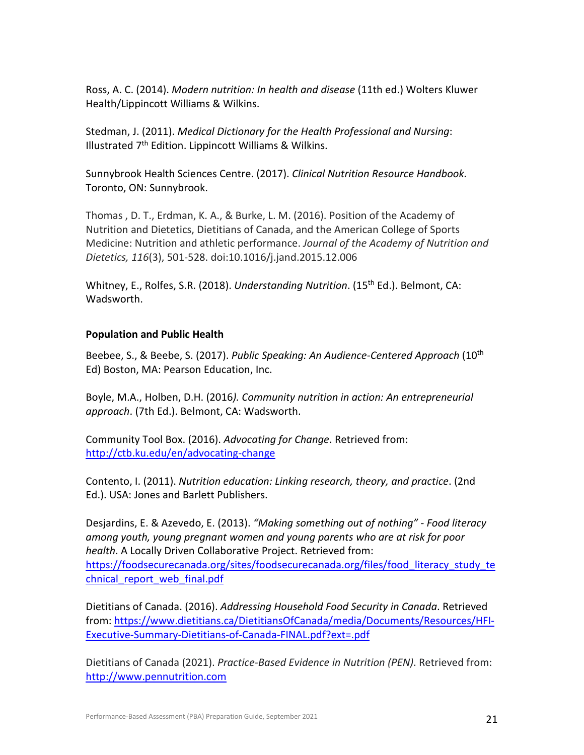Ross, A. C. (2014). *Modern nutrition: In health and disease* (11th ed.) Wolters Kluwer Health/Lippincott Williams & Wilkins.

Stedman, J. (2011). *Medical Dictionary for the Health Professional and Nursing*: Illustrated  $7<sup>th</sup>$  Edition. Lippincott Williams & Wilkins.

Sunnybrook Health Sciences Centre. (2017). *Clinical Nutrition Resource Handbook.* Toronto, ON: Sunnybrook.

Thomas , D. T., Erdman, K. A., & Burke, L. M. (2016). Position of the Academy of Nutrition and Dietetics, Dietitians of Canada, and the American College of Sports Medicine: Nutrition and athletic performance. *Journal of the Academy of Nutrition and Dietetics, 116*(3), 501-528. doi:10.1016/j.jand.2015.12.006

Whitney, E., Rolfes, S.R. (2018). *Understanding Nutrition*. (15th Ed.). Belmont, CA: Wadsworth.

## **Population and Public Health**

Beebee, S., & Beebe, S. (2017). *Public Speaking: An Audience-Centered Approach* (10th Ed) Boston, MA: Pearson Education, Inc.

Boyle, M.A., Holben, D.H. (2016*). Community nutrition in action: An entrepreneurial approach*. (7th Ed.). Belmont, CA: Wadsworth.

Community Tool Box. (2016). *Advocating for Change*. Retrieved from: <http://ctb.ku.edu/en/advocating-change>

Contento, I. (2011). *Nutrition education: Linking research, theory, and practice*. (2nd Ed.). USA: Jones and Barlett Publishers.

Desjardins, E. & Azevedo, E. (2013). *"Making something out of nothing" - Food literacy among youth, young pregnant women and young parents who are at risk for poor health*. A Locally Driven Collaborative Project. Retrieved from: https://foodsecurecanada.org/sites/foodsecurecanada.org/files/food literacy study te chnical report web final.pdf

Dietitians of Canada. (2016). *Addressing Household Food Security in Canada*. Retrieved from[: https://www.dietitians.ca/DietitiansOfCanada/media/Documents/Resources/HFI-](https://www.dietitians.ca/DietitiansOfCanada/media/Documents/Resources/HFI-Executive-Summary-Dietitians-of-Canada-FINAL.pdf?ext=.pdf)[Executive-Summary-Dietitians-of-Canada-FINAL.pdf?ext=.pdf](https://www.dietitians.ca/DietitiansOfCanada/media/Documents/Resources/HFI-Executive-Summary-Dietitians-of-Canada-FINAL.pdf?ext=.pdf)

Dietitians of Canada (2021). *Practice-Based Evidence in Nutrition (PEN)*. Retrieved from: [http://www.pennutrition.com](http://www.pennutrition.com/)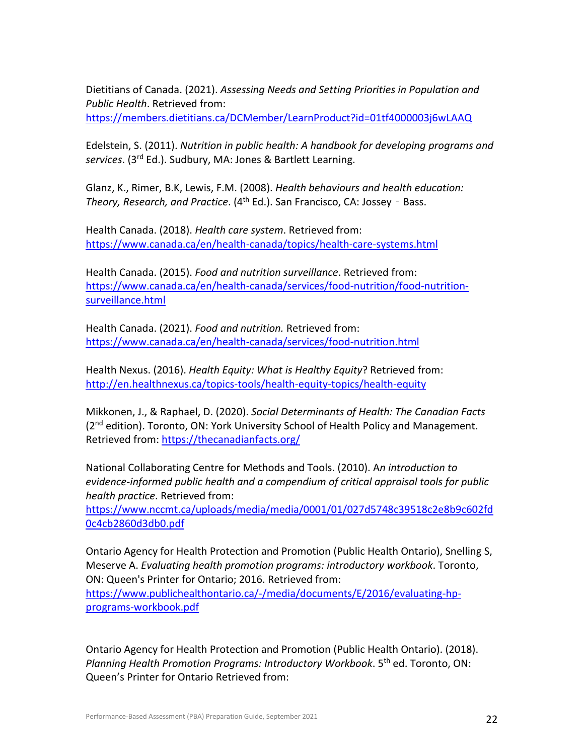Dietitians of Canada. (2021). *Assessing Needs and Setting Priorities in Population and Public Health*. Retrieved from:

<https://members.dietitians.ca/DCMember/LearnProduct?id=01tf4000003j6wLAAQ>

Edelstein, S. (2011). *Nutrition in public health: A handbook for developing programs and services*. (3rd Ed.). Sudbury, MA: Jones & Bartlett Learning.

Glanz, K., Rimer, B.K, Lewis, F.M. (2008). *Health behaviours and health education: Theory, Research, and Practice*. (4<sup>th</sup> Ed.). San Francisco, CA: Jossey - Bass.

Health Canada. (2018). *Health care system*. Retrieved from: <https://www.canada.ca/en/health-canada/topics/health-care-systems.html>

Health Canada. (2015). *Food and nutrition surveillance*. Retrieved from: [https://www.canada.ca/en/health-canada/services/food-nutrition/food-nutrition](https://www.canada.ca/en/health-canada/services/food-nutrition/food-nutrition-surveillance.html)[surveillance.html](https://www.canada.ca/en/health-canada/services/food-nutrition/food-nutrition-surveillance.html)

Health Canada. (2021). *Food and nutrition.* Retrieved from: <https://www.canada.ca/en/health-canada/services/food-nutrition.html>

Health Nexus. (2016). *Health Equity: What is Healthy Equity*? Retrieved from: <http://en.healthnexus.ca/topics-tools/health-equity-topics/health-equity>

Mikkonen, J., & Raphael, D. (2020). *Social Determinants of Health: The Canadian Facts* (2<sup>nd</sup> edition). Toronto, ON: York University School of Health Policy and Management. Retrieved from:<https://thecanadianfacts.org/>

National Collaborating Centre for Methods and Tools. (2010). A*n introduction to evidence-informed public health and a compendium of critical appraisal tools for public health practice*. Retrieved from:

[https://www.nccmt.ca/uploads/media/media/0001/01/027d5748c39518c2e8b9c602fd](https://www.nccmt.ca/uploads/media/media/0001/01/027d5748c39518c2e8b9c602fd0c4cb2860d3db0.pdf) [0c4cb2860d3db0.pdf](https://www.nccmt.ca/uploads/media/media/0001/01/027d5748c39518c2e8b9c602fd0c4cb2860d3db0.pdf)

Ontario Agency for Health Protection and Promotion (Public Health Ontario), Snelling S, Meserve A. *Evaluating health promotion programs: introductory workbook*. Toronto, ON: Queen's Printer for Ontario; 2016. Retrieved from: [https://www.publichealthontario.ca/-/media/documents/E/2016/evaluating-hp](https://www.publichealthontario.ca/-/media/documents/E/2016/evaluating-hp-programs-workbook.pdf)[programs-workbook.pdf](https://www.publichealthontario.ca/-/media/documents/E/2016/evaluating-hp-programs-workbook.pdf)

Ontario Agency for Health Protection and Promotion (Public Health Ontario). (2018). *Planning Health Promotion Programs: Introductory Workbook*. 5th ed. Toronto, ON: Queen's Printer for Ontario Retrieved from: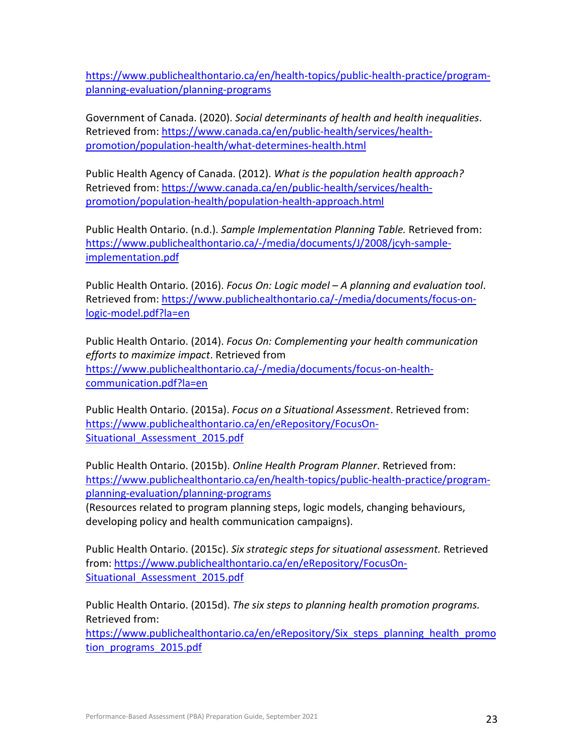[https://www.publichealthontario.ca/en/health-topics/public-health-practice/program](https://www.publichealthontario.ca/en/health-topics/public-health-practice/program-planning-evaluation/planning-programs)[planning-evaluation/planning-programs](https://www.publichealthontario.ca/en/health-topics/public-health-practice/program-planning-evaluation/planning-programs)

Government of Canada. (2020). *Social determinants of health and health inequalities*. Retrieved from: [https://www.canada.ca/en/public-health/services/health](https://www.canada.ca/en/public-health/services/health-promotion/population-health/what-determines-health.html)[promotion/population-health/what-determines-health.html](https://www.canada.ca/en/public-health/services/health-promotion/population-health/what-determines-health.html)

Public Health Agency of Canada. (2012). *What is the population health approach?* Retrieved from: [https://www.canada.ca/en/public-health/services/health](https://www.canada.ca/en/public-health/services/health-promotion/population-health/population-health-approach.html)[promotion/population-health/population-health-approach.html](https://www.canada.ca/en/public-health/services/health-promotion/population-health/population-health-approach.html)

Public Health Ontario. (n.d.). *Sample Implementation Planning Table.* Retrieved from: [https://www.publichealthontario.ca/-/media/documents/J/2008/jcyh-sample](https://www.publichealthontario.ca/-/media/documents/J/2008/jcyh-sample-implementation.pdf)[implementation.pdf](https://www.publichealthontario.ca/-/media/documents/J/2008/jcyh-sample-implementation.pdf)

Public Health Ontario. (2016). *Focus On: Logic model – A planning and evaluation tool*. Retrieved from: [https://www.publichealthontario.ca/-/media/documents/focus-on](https://www.publichealthontario.ca/-/media/documents/focus-on-logic-model.pdf?la=en)[logic-model.pdf?la=en](https://www.publichealthontario.ca/-/media/documents/focus-on-logic-model.pdf?la=en)

Public Health Ontario. (2014). *Focus On: Complementing your health communication efforts to maximize impact*. Retrieved from [https://www.publichealthontario.ca/-/media/documents/focus-on-health](https://www.publichealthontario.ca/-/media/documents/focus-on-health-communication.pdf?la=en)[communication.pdf?la=en](https://www.publichealthontario.ca/-/media/documents/focus-on-health-communication.pdf?la=en)

Public Health Ontario. (2015a). *Focus on a Situational Assessment*. Retrieved from: [https://www.publichealthontario.ca/en/eRepository/FocusOn-](https://www.publichealthontario.ca/en/eRepository/FocusOn-Situational_Assessment_2015.pdf)Situational Assessment 2015.pdf

Public Health Ontario. (2015b). *Online Health Program Planner*. Retrieved from: [https://www.publichealthontario.ca/en/health-topics/public-health-practice/program](https://www.publichealthontario.ca/en/health-topics/public-health-practice/program-planning-evaluation/planning-programs)[planning-evaluation/planning-programs](https://www.publichealthontario.ca/en/health-topics/public-health-practice/program-planning-evaluation/planning-programs)

(Resources related to program planning steps, logic models, changing behaviours, developing policy and health communication campaigns).

Public Health Ontario. (2015c). *Six strategic steps for situational assessment.* Retrieved from[: https://www.publichealthontario.ca/en/eRepository/FocusOn-](https://www.publichealthontario.ca/en/eRepository/FocusOn-Situational_Assessment_2015.pdf)Situational Assessment 2015.pdf

Public Health Ontario. (2015d). *The six steps to planning health promotion programs.* Retrieved from:

https://www.publichealthontario.ca/en/eRepository/Six steps planning health promo [tion\\_programs\\_2015.pdf](https://www.publichealthontario.ca/en/eRepository/Six_steps_planning_health_promotion_programs_2015.pdf)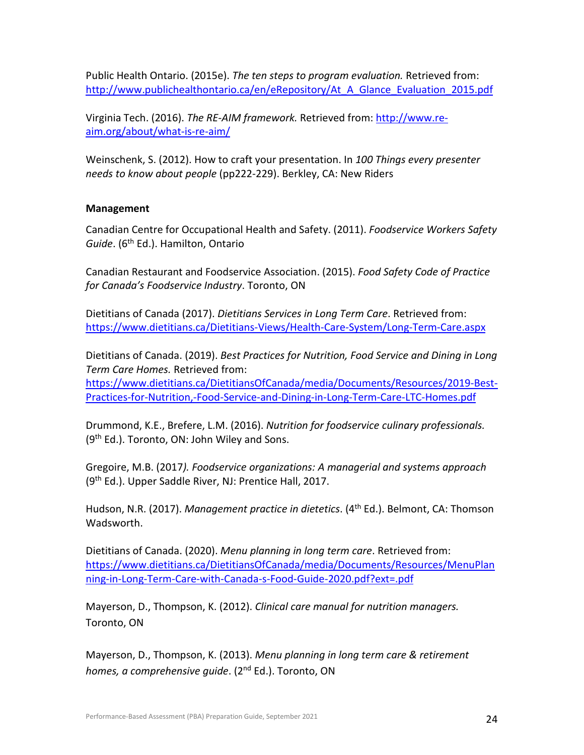Public Health Ontario. (2015e). *The ten steps to program evaluation.* Retrieved from: [http://www.publichealthontario.ca/en/eRepository/At\\_A\\_Glance\\_Evaluation\\_2015.pdf](http://www.publichealthontario.ca/en/eRepository/At_A_Glance_Evaluation_2015.pdf) 

Virginia Tech. (2016). *The RE-AIM framework.* Retrieved from: [http://www.re](http://www.re-aim.org/about/what-is-re-aim/)[aim.org/about/what-is-re-aim/](http://www.re-aim.org/about/what-is-re-aim/)

Weinschenk, S. (2012). How to craft your presentation. In *100 Things every presenter needs to know about people* (pp222-229). Berkley, CA: New Riders

## **Management**

Canadian Centre for Occupational Health and Safety. (2011). *Foodservice Workers Safety*  Guide. (6<sup>th</sup> Ed.). Hamilton, Ontario

Canadian Restaurant and Foodservice Association. (2015). *Food Safety Code of Practice for Canada's Foodservice Industry*. Toronto, ON

Dietitians of Canada (2017). *Dietitians Services in Long Term Care*. Retrieved from: <https://www.dietitians.ca/Dietitians-Views/Health-Care-System/Long-Term-Care.aspx>

Dietitians of Canada. (2019). *Best Practices for Nutrition, Food Service and Dining in Long Term Care Homes.* Retrieved from: [https://www.dietitians.ca/DietitiansOfCanada/media/Documents/Resources/2019-Best-](https://www.dietitians.ca/DietitiansOfCanada/media/Documents/Resources/2019-Best-Practices-for-Nutrition,-Food-Service-and-Dining-in-Long-Term-Care-LTC-Homes.pdf)[Practices-for-Nutrition,-Food-Service-and-Dining-in-Long-Term-Care-LTC-Homes.pdf](https://www.dietitians.ca/DietitiansOfCanada/media/Documents/Resources/2019-Best-Practices-for-Nutrition,-Food-Service-and-Dining-in-Long-Term-Care-LTC-Homes.pdf)

Drummond, K.E., Brefere, L.M. (2016). *Nutrition for foodservice culinary professionals.*  $(9<sup>th</sup> Ed.)$ . Toronto, ON: John Wiley and Sons.

Gregoire, M.B. (2017*). Foodservice organizations: A managerial and systems approach* (9th Ed.). Upper Saddle River, NJ: Prentice Hall, 2017.

Hudson, N.R. (2017). *Management practice in dietetics*. (4th Ed.). Belmont, CA: Thomson Wadsworth.

Dietitians of Canada. (2020). *Menu planning in long term care*. Retrieved from: [https://www.dietitians.ca/DietitiansOfCanada/media/Documents/Resources/MenuPlan](https://www.dietitians.ca/DietitiansOfCanada/media/Documents/Resources/MenuPlanning-in-Long-Term-Care-with-Canada-s-Food-Guide-2020.pdf?ext=.pdf) [ning-in-Long-Term-Care-with-Canada-s-Food-Guide-2020.pdf?ext=.pdf](https://www.dietitians.ca/DietitiansOfCanada/media/Documents/Resources/MenuPlanning-in-Long-Term-Care-with-Canada-s-Food-Guide-2020.pdf?ext=.pdf)

Mayerson, D., Thompson, K. (2012). *Clinical care manual for nutrition managers.* Toronto, ON

Mayerson, D., Thompson, K. (2013). *Menu planning in long term care & retirement homes, a comprehensive guide*. (2nd Ed.). Toronto, ON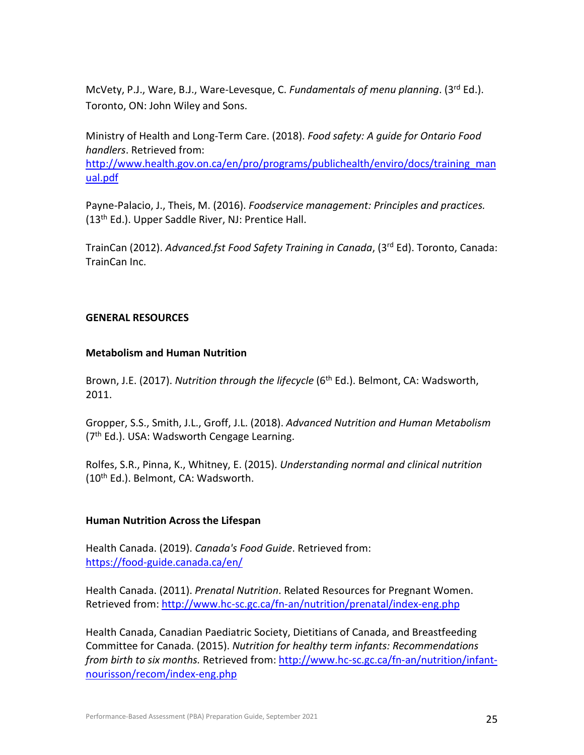McVety, P.J., Ware, B.J., Ware-Levesque, C. *Fundamentals of menu planning*. (3rd Ed.). Toronto, ON: John Wiley and Sons.

Ministry of Health and Long-Term Care. (2018). *Food safety: A guide for Ontario Food handlers*. Retrieved from:

[http://www.health.gov.on.ca/en/pro/programs/publichealth/enviro/docs/training\\_man](http://www.health.gov.on.ca/en/pro/programs/publichealth/enviro/docs/training_manual.pdf) [ual.pdf](http://www.health.gov.on.ca/en/pro/programs/publichealth/enviro/docs/training_manual.pdf)

Payne-Palacio, J., Theis, M. (2016). *Foodservice management: Principles and practices.* (13<sup>th</sup> Ed.). Upper Saddle River, NJ: Prentice Hall.

TrainCan (2012). *Advanced.fst Food Safety Training in Canada*, (3rd Ed). Toronto, Canada: TrainCan Inc.

## **GENERAL RESOURCES**

## **Metabolism and Human Nutrition**

Brown, J.E. (2017). *Nutrition through the lifecycle* (6<sup>th</sup> Ed.). Belmont, CA: Wadsworth, 2011.

Gropper, S.S., Smith, J.L., Groff, J.L. (2018). *Advanced Nutrition and Human Metabolism*  $(7<sup>th</sup> Ed.)$ . USA: Wadsworth Cengage Learning.

Rolfes, S.R., Pinna, K., Whitney, E. (2015). *Understanding normal and clinical nutrition* (10th Ed.). Belmont, CA: Wadsworth.

## **Human Nutrition Across the Lifespan**

Health Canada. (2019). *Canada's Food Guide*. Retrieved from: <https://food-guide.canada.ca/en/>

Health Canada. (2011). *Prenatal Nutrition*. Related Resources for Pregnant Women. Retrieved from: <http://www.hc-sc.gc.ca/fn-an/nutrition/prenatal/index-eng.php>

Health Canada, Canadian Paediatric Society, Dietitians of Canada, and Breastfeeding Committee for Canada. (2015). *Nutrition for healthy term infants: Recommendations from birth to six months.* Retrieved from: [http://www.hc-sc.gc.ca/fn-an/nutrition/infant](http://www.hc-sc.gc.ca/fn-an/nutrition/infant-nourisson/recom/index-eng.php)[nourisson/recom/index-eng.php](http://www.hc-sc.gc.ca/fn-an/nutrition/infant-nourisson/recom/index-eng.php)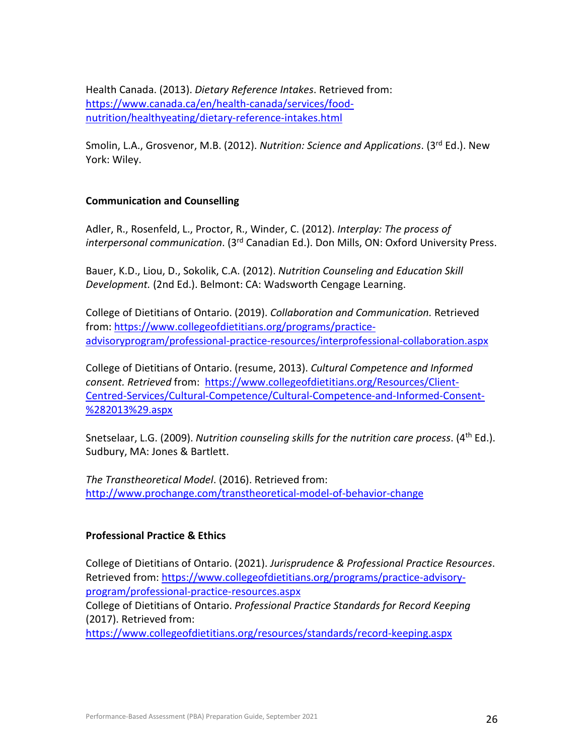Health Canada. (2013). *Dietary Reference Intakes*. Retrieved from: [https://www.canada.ca/en/health-canada/services/food](https://www.canada.ca/en/health-canada/services/food-nutrition/healthyeating/dietary-reference-intakes.html)[nutrition/healthyeating/dietary-reference-intakes.html](https://www.canada.ca/en/health-canada/services/food-nutrition/healthyeating/dietary-reference-intakes.html)

Smolin, L.A., Grosvenor, M.B. (2012). *Nutrition: Science and Applications*. (3rd Ed.). New York: Wiley.

## **Communication and Counselling**

Adler, R., Rosenfeld, L., Proctor, R., Winder, C. (2012). *Interplay: The process of interpersonal communication*. (3rd Canadian Ed.). Don Mills, ON: Oxford University Press.

Bauer, K.D., Liou, D., Sokolik, C.A. (2012). *Nutrition Counseling and Education Skill Development.* (2nd Ed.). Belmont: CA: Wadsworth Cengage Learning.

College of Dietitians of Ontario. (2019). *Collaboration and Communication.* Retrieved from: [https://www.collegeofdietitians.org/programs/practice](https://www.collegeofdietitians.org/programs/practice-advisoryprogram/professional-practice-resources/interprofessional-collaboration.aspx)[advisoryprogram/professional-practice-resources/interprofessional-collaboration.aspx](https://www.collegeofdietitians.org/programs/practice-advisoryprogram/professional-practice-resources/interprofessional-collaboration.aspx)

College of Dietitians of Ontario. (resume, 2013). *Cultural Competence and Informed consent. Retrieved* from: [https://www.collegeofdietitians.org/Resources/Client-](https://www.collegeofdietitians.org/Resources/Client-Centred-Services/Cultural-Competence/Cultural-Competence-and-Informed-Consent-%282013%29.aspx)[Centred-Services/Cultural-Competence/Cultural-Competence-and-Informed-Consent-](https://www.collegeofdietitians.org/Resources/Client-Centred-Services/Cultural-Competence/Cultural-Competence-and-Informed-Consent-%282013%29.aspx) [%282013%29.aspx](https://www.collegeofdietitians.org/Resources/Client-Centred-Services/Cultural-Competence/Cultural-Competence-and-Informed-Consent-%282013%29.aspx)

Snetselaar, L.G. (2009). *Nutrition counseling skills for the nutrition care process*. (4th Ed.). Sudbury, MA: Jones & Bartlett.

*The Transtheoretical Model*. (2016). Retrieved from: <http://www.prochange.com/transtheoretical-model-of-behavior-change>

## **Professional Practice & Ethics**

College of Dietitians of Ontario. (2021). *Jurisprudence & Professional Practice Resources*. Retrieved from: [https://www.collegeofdietitians.org/programs/practice-advisory](https://www.collegeofdietitians.org/programs/practice-advisory-program/professional-practice-resources.aspx)[program/professional-practice-resources.aspx](https://www.collegeofdietitians.org/programs/practice-advisory-program/professional-practice-resources.aspx) College of Dietitians of Ontario. *Professional Practice Standards for Record Keeping* (2017). Retrieved from:

<https://www.collegeofdietitians.org/resources/standards/record-keeping.aspx>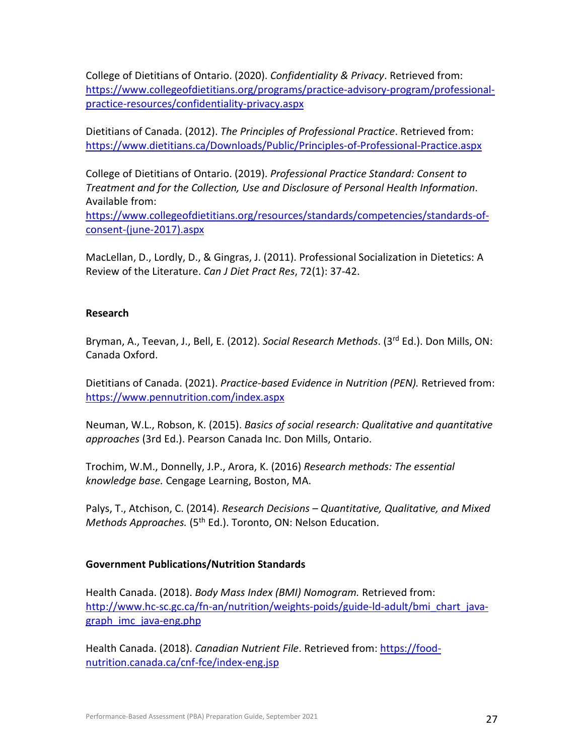College of Dietitians of Ontario. (2020). *Confidentiality & Privacy*. Retrieved from: [https://www.collegeofdietitians.org/programs/practice-advisory-program/professional](https://www.collegeofdietitians.org/programs/practice-advisory-program/professional-practice-resources/confidentiality-privacy.aspx)[practice-resources/confidentiality-privacy.aspx](https://www.collegeofdietitians.org/programs/practice-advisory-program/professional-practice-resources/confidentiality-privacy.aspx)

Dietitians of Canada. (2012). *The Principles of Professional Practice*. Retrieved from: <https://www.dietitians.ca/Downloads/Public/Principles-of-Professional-Practice.aspx>

College of Dietitians of Ontario. (2019). *Professional Practice Standard: Consent to Treatment and for the Collection, Use and Disclosure of Personal Health Information*. Available from:

[https://www.collegeofdietitians.org/resources/standards/competencies/standards-of](https://www.collegeofdietitians.org/resources/standards/competencies/standards-of-consent-(june-2017).aspx)[consent-\(june-2017\).aspx](https://www.collegeofdietitians.org/resources/standards/competencies/standards-of-consent-(june-2017).aspx)

MacLellan, D., Lordly, D., & Gingras, J. (2011). Professional Socialization in Dietetics: A Review of the Literature. *Can J Diet Pract Res*, 72(1): 37-42.

## **Research**

Bryman, A., Teevan, J., Bell, E. (2012). *Social Research Methods*. (3rd Ed.). Don Mills, ON: Canada Oxford.

Dietitians of Canada. (2021). *Practice-based Evidence in Nutrition (PEN).* Retrieved from: <https://www.pennutrition.com/index.aspx>

Neuman, W.L., Robson, K. (2015). *Basics of social research: Qualitative and quantitative approaches* (3rd Ed.). Pearson Canada Inc. Don Mills, Ontario.

Trochim, W.M., Donnelly, J.P., Arora, K. (2016) *Research methods: The essential knowledge base.* Cengage Learning, Boston, MA.

Palys, T., Atchison, C. (2014). *Research Decisions – Quantitative, Qualitative, and Mixed Methods Approaches.* (5<sup>th</sup> Ed.). Toronto, ON: Nelson Education.

## **Government Publications/Nutrition Standards**

Health Canada. (2018). *Body Mass Index (BMI) Nomogram.* Retrieved from: [http://www.hc-sc.gc.ca/fn-an/nutrition/weights-poids/guide-ld-adult/bmi\\_chart\\_java](http://www.hc-sc.gc.ca/fn-an/nutrition/weights-poids/guide-ld-adult/bmi_chart_java-graph_imc_java-eng.php)[graph\\_imc\\_java-eng.php](http://www.hc-sc.gc.ca/fn-an/nutrition/weights-poids/guide-ld-adult/bmi_chart_java-graph_imc_java-eng.php)

Health Canada. (2018). *Canadian Nutrient File*. Retrieved from: [https://food](https://food-nutrition.canada.ca/cnf-fce/index-eng.jsp)[nutrition.canada.ca/cnf-fce/index-eng.jsp](https://food-nutrition.canada.ca/cnf-fce/index-eng.jsp)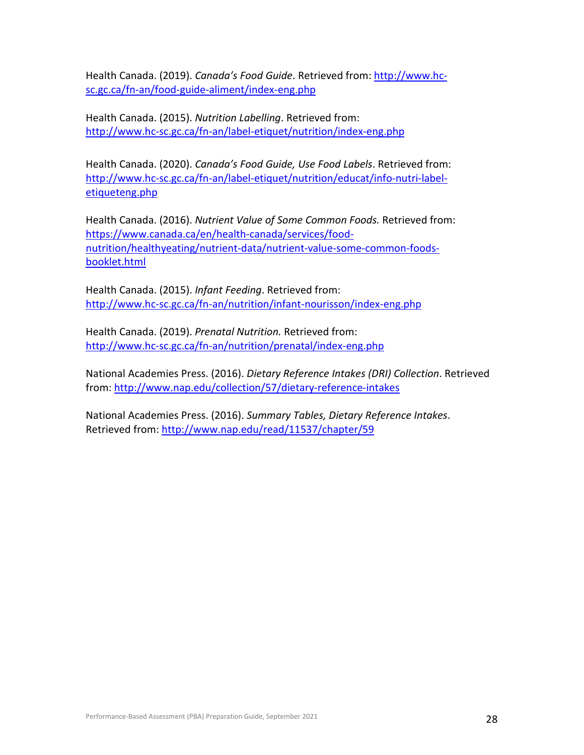Health Canada. (2019). *Canada's Food Guide*. Retrieved from: [http://www.hc](http://www.hc-sc.gc.ca/fn-an/food-guide-aliment/index-eng.php)[sc.gc.ca/fn-an/food-guide-aliment/index-eng.php](http://www.hc-sc.gc.ca/fn-an/food-guide-aliment/index-eng.php)

Health Canada. (2015). *Nutrition Labelling*. Retrieved from: <http://www.hc-sc.gc.ca/fn-an/label-etiquet/nutrition/index-eng.php>

Health Canada. (2020). *Canada's Food Guide, Use Food Labels*. Retrieved from: [http://www.hc-sc.gc.ca/fn-an/label-etiquet/nutrition/educat/info-nutri-label](http://www.hc-sc.gc.ca/fn-an/label-etiquet/nutrition/educat/info-nutri-label-etiqueteng.php)[etiqueteng.php](http://www.hc-sc.gc.ca/fn-an/label-etiquet/nutrition/educat/info-nutri-label-etiqueteng.php)

Health Canada. (2016). *Nutrient Value of Some Common Foods.* Retrieved from: [https://www.canada.ca/en/health-canada/services/food](https://www.canada.ca/en/health-canada/services/food-nutrition/healthyeating/nutrient-data/nutrient-value-some-common-foods-booklet.html)[nutrition/healthyeating/nutrient-data/nutrient-value-some-common-foods](https://www.canada.ca/en/health-canada/services/food-nutrition/healthyeating/nutrient-data/nutrient-value-some-common-foods-booklet.html)[booklet.html](https://www.canada.ca/en/health-canada/services/food-nutrition/healthyeating/nutrient-data/nutrient-value-some-common-foods-booklet.html)

Health Canada. (2015). *Infant Feeding*. Retrieved from: <http://www.hc-sc.gc.ca/fn-an/nutrition/infant-nourisson/index-eng.php>

Health Canada. (2019). *Prenatal Nutrition.* Retrieved from: <http://www.hc-sc.gc.ca/fn-an/nutrition/prenatal/index-eng.php>

National Academies Press. (2016). *Dietary Reference Intakes (DRI) Collection*. Retrieved from: <http://www.nap.edu/collection/57/dietary-reference-intakes>

National Academies Press. (2016). *Summary Tables, Dietary Reference Intakes*. Retrieved from: http://www.nap.edu/read/11537/chapter/59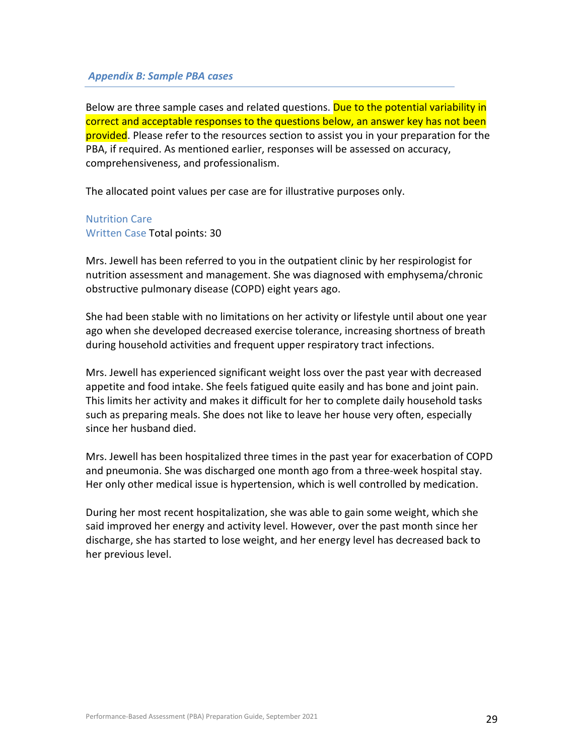#### <span id="page-28-0"></span>*Appendix B: Sample PBA cases*

Below are three sample cases and related questions. Due to the potential variability in correct and acceptable responses to the questions below, an answer key has not been provided. Please refer to the resources section to assist you in your preparation for the PBA, if required. As mentioned earlier, responses will be assessed on accuracy, comprehensiveness, and professionalism.

The allocated point values per case are for illustrative purposes only.

Nutrition Care Written Case Total points: 30

Mrs. Jewell has been referred to you in the outpatient clinic by her respirologist for nutrition assessment and management. She was diagnosed with emphysema/chronic obstructive pulmonary disease (COPD) eight years ago.

She had been stable with no limitations on her activity or lifestyle until about one year ago when she developed decreased exercise tolerance, increasing shortness of breath during household activities and frequent upper respiratory tract infections.

Mrs. Jewell has experienced significant weight loss over the past year with decreased appetite and food intake. She feels fatigued quite easily and has bone and joint pain. This limits her activity and makes it difficult for her to complete daily household tasks such as preparing meals. She does not like to leave her house very often, especially since her husband died.

Mrs. Jewell has been hospitalized three times in the past year for exacerbation of COPD and pneumonia. She was discharged one month ago from a three-week hospital stay. Her only other medical issue is hypertension, which is well controlled by medication.

During her most recent hospitalization, she was able to gain some weight, which she said improved her energy and activity level. However, over the past month since her discharge, she has started to lose weight, and her energy level has decreased back to her previous level.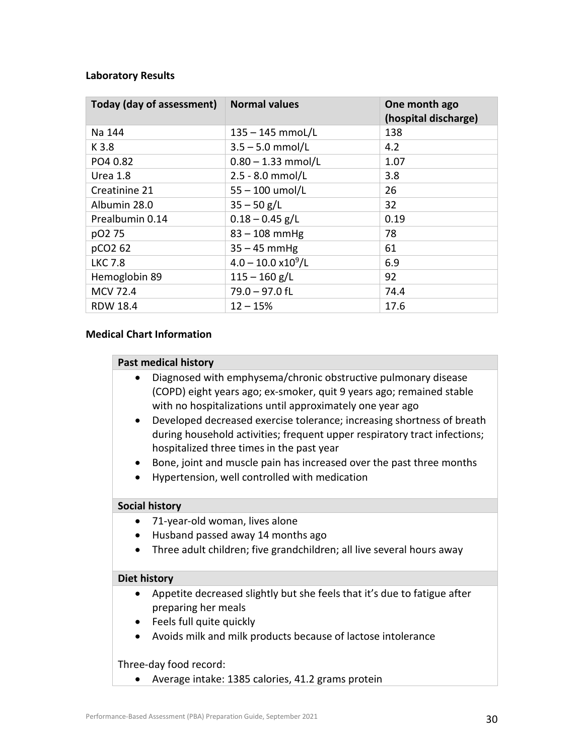#### **Laboratory Results**

| Today (day of assessment) | <b>Normal values</b>         | One month ago<br>(hospital discharge) |
|---------------------------|------------------------------|---------------------------------------|
| Na 144                    | $135 - 145$ mmol/L           | 138                                   |
| K 3.8                     | $3.5 - 5.0$ mmol/L           | 4.2                                   |
| PO4 0.82                  | $0.80 - 1.33$ mmol/L         | 1.07                                  |
| Urea 1.8                  | $2.5 - 8.0$ mmol/L           | 3.8                                   |
| Creatinine 21             | $55 - 100$ umol/L            | 26                                    |
| Albumin 28.0              | $35 - 50$ g/L                | 32                                    |
| Prealbumin 0.14           | $0.18 - 0.45$ g/L            | 0.19                                  |
| pO2 75                    | $83 - 108$ mmHg              | 78                                    |
| pCO2 62                   | $35 - 45$ mmHg               | 61                                    |
| <b>LKC 7.8</b>            | $4.0 - 10.0 \times 10^9 / L$ | 6.9                                   |
| Hemoglobin 89             | $115 - 160$ g/L              | 92                                    |
| <b>MCV 72.4</b>           | $79.0 - 97.0$ fL             | 74.4                                  |
| <b>RDW 18.4</b>           | $12 - 15%$                   | 17.6                                  |

#### **Medical Chart Information**

#### **Past medical history**

- Diagnosed with emphysema/chronic obstructive pulmonary disease (COPD) eight years ago; ex-smoker, quit 9 years ago; remained stable with no hospitalizations until approximately one year ago
- Developed decreased exercise tolerance; increasing shortness of breath during household activities; frequent upper respiratory tract infections; hospitalized three times in the past year
- Bone, joint and muscle pain has increased over the past three months
- Hypertension, well controlled with medication

#### **Social history**

- 71-year-old woman, lives alone
- Husband passed away 14 months ago
- Three adult children; five grandchildren; all live several hours away

#### **Diet history**

- Appetite decreased slightly but she feels that it's due to fatigue after preparing her meals
- Feels full quite quickly
- Avoids milk and milk products because of lactose intolerance

#### Three-day food record:

• Average intake: 1385 calories, 41.2 grams protein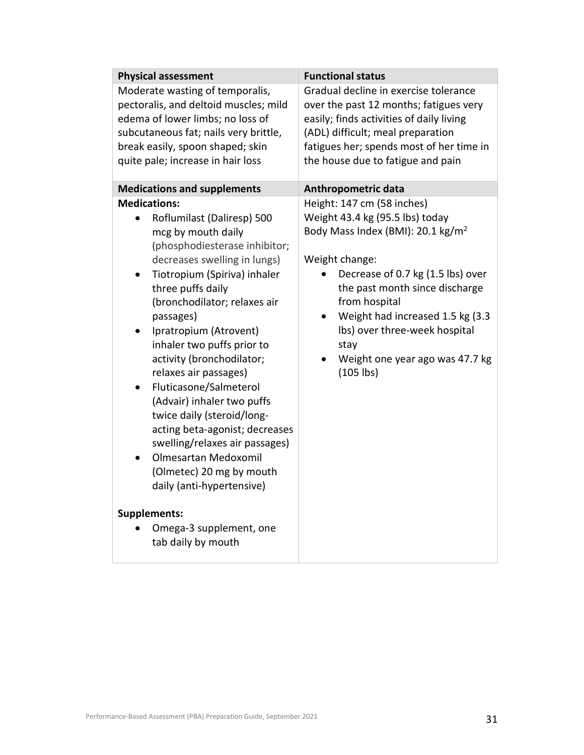| <b>Physical assessment</b>                                                                                                                                                                                                                                                                                                                                                                                                                                                                                                                                                                                                                                                                                 | <b>Functional status</b>                                                                                                                                                                                                                                                                                                                                |
|------------------------------------------------------------------------------------------------------------------------------------------------------------------------------------------------------------------------------------------------------------------------------------------------------------------------------------------------------------------------------------------------------------------------------------------------------------------------------------------------------------------------------------------------------------------------------------------------------------------------------------------------------------------------------------------------------------|---------------------------------------------------------------------------------------------------------------------------------------------------------------------------------------------------------------------------------------------------------------------------------------------------------------------------------------------------------|
| Moderate wasting of temporalis,<br>pectoralis, and deltoid muscles; mild<br>edema of lower limbs; no loss of<br>subcutaneous fat; nails very brittle,<br>break easily, spoon shaped; skin<br>quite pale; increase in hair loss                                                                                                                                                                                                                                                                                                                                                                                                                                                                             | Gradual decline in exercise tolerance<br>over the past 12 months; fatigues very<br>easily; finds activities of daily living<br>(ADL) difficult; meal preparation<br>fatigues her; spends most of her time in<br>the house due to fatigue and pain                                                                                                       |
| <b>Medications and supplements</b>                                                                                                                                                                                                                                                                                                                                                                                                                                                                                                                                                                                                                                                                         | Anthropometric data                                                                                                                                                                                                                                                                                                                                     |
| <b>Medications:</b><br>Roflumilast (Daliresp) 500<br>mcg by mouth daily<br>(phosphodiesterase inhibitor;<br>decreases swelling in lungs)<br>Tiotropium (Spiriva) inhaler<br>$\bullet$<br>three puffs daily<br>(bronchodilator; relaxes air<br>passages)<br>Ipratropium (Atrovent)<br>$\bullet$<br>inhaler two puffs prior to<br>activity (bronchodilator;<br>relaxes air passages)<br>Fluticasone/Salmeterol<br>٠<br>(Advair) inhaler two puffs<br>twice daily (steroid/long-<br>acting beta-agonist; decreases<br>swelling/relaxes air passages)<br>Olmesartan Medoxomil<br>(Olmetec) 20 mg by mouth<br>daily (anti-hypertensive)<br><b>Supplements:</b><br>Omega-3 supplement, one<br>tab daily by mouth | Height: 147 cm (58 inches)<br>Weight 43.4 kg (95.5 lbs) today<br>Body Mass Index (BMI): 20.1 kg/m <sup>2</sup><br>Weight change:<br>Decrease of 0.7 kg (1.5 lbs) over<br>the past month since discharge<br>from hospital<br>Weight had increased 1.5 kg (3.3<br>Ibs) over three-week hospital<br>stay<br>Weight one year ago was 47.7 kg<br>$(105$ lbs) |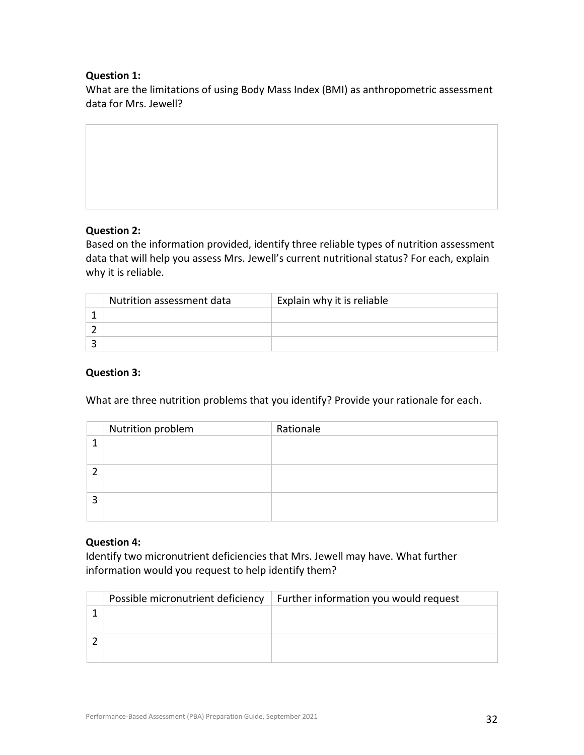## **Question 1:**

What are the limitations of using Body Mass Index (BMI) as anthropometric assessment data for Mrs. Jewell?

## **Question 2:**

Based on the information provided, identify three reliable types of nutrition assessment data that will help you assess Mrs. Jewell's current nutritional status? For each, explain why it is reliable.

| Nutrition assessment data | Explain why it is reliable |
|---------------------------|----------------------------|
|                           |                            |
|                           |                            |
|                           |                            |

## **Question 3:**

What are three nutrition problems that you identify? Provide your rationale for each.

|   | Nutrition problem | Rationale |
|---|-------------------|-----------|
|   |                   |           |
|   |                   |           |
| 2 |                   |           |

## **Question 4:**

Identify two micronutrient deficiencies that Mrs. Jewell may have. What further information would you request to help identify them?

| Possible micronutrient deficiency | Further information you would request |
|-----------------------------------|---------------------------------------|
|                                   |                                       |
|                                   |                                       |
|                                   |                                       |
|                                   |                                       |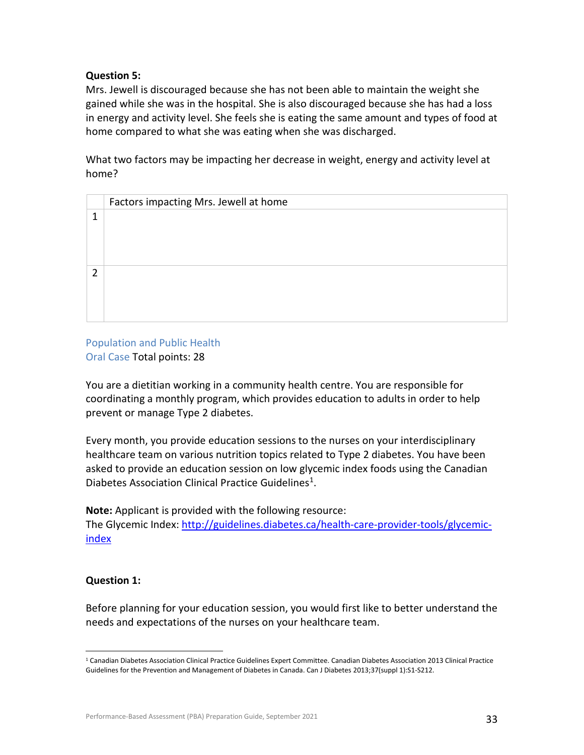## **Question 5:**

Mrs. Jewell is discouraged because she has not been able to maintain the weight she gained while she was in the hospital. She is also discouraged because she has had a loss in energy and activity level. She feels she is eating the same amount and types of food at home compared to what she was eating when she was discharged.

What two factors may be impacting her decrease in weight, energy and activity level at home?

|   | Factors impacting Mrs. Jewell at home |
|---|---------------------------------------|
| 1 |                                       |
|   |                                       |
|   |                                       |
|   |                                       |
| っ |                                       |
|   |                                       |
|   |                                       |
|   |                                       |
|   |                                       |

## Population and Public Health Oral Case Total points: 28

You are a dietitian working in a community health centre. You are responsible for coordinating a monthly program, which provides education to adults in order to help prevent or manage Type 2 diabetes.

Every month, you provide education sessions to the nurses on your interdisciplinary healthcare team on various nutrition topics related to Type 2 diabetes. You have been asked to provide an education session on low glycemic index foods using the Canadian Diabetes Association Clinical Practice Guidelines<sup>1</sup>.

**Note:** Applicant is provided with the following resource:

The Glycemic Index: [http://guidelines.diabetes.ca/health-care-provider-tools/glycemic](http://guidelines.diabetes.ca/health-care-provider-tools/glycemic-index)[index](http://guidelines.diabetes.ca/health-care-provider-tools/glycemic-index)

## **Question 1:**

Before planning for your education session, you would first like to better understand the needs and expectations of the nurses on your healthcare team.

<span id="page-32-0"></span> $1$  Canadian Diabetes Association Clinical Practice Guidelines Expert Committee. Canadian Diabetes Association 2013 Clinical Practice Guidelines for the Prevention and Management of Diabetes in Canada. Can J Diabetes 2013;37(suppl 1):S1-S212.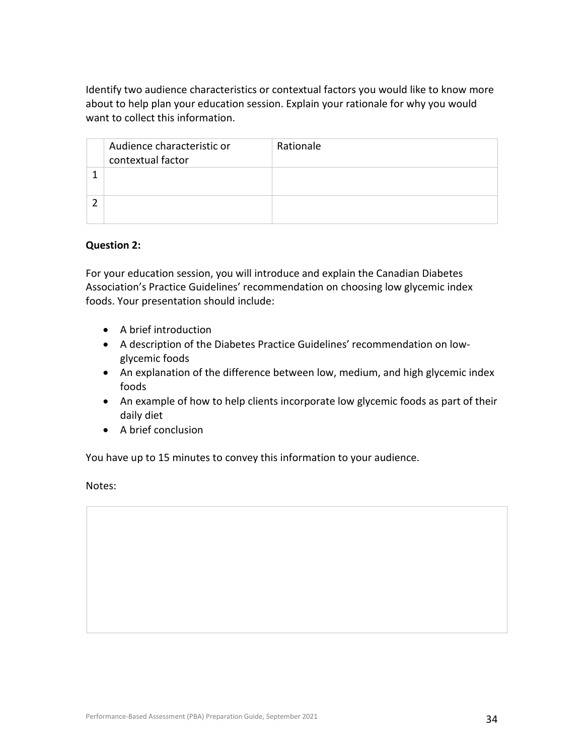Identify two audience characteristics or contextual factors you would like to know more about to help plan your education session. Explain your rationale for why you would want to collect this information.

| Audience characteristic or<br>contextual factor | Rationale |
|-------------------------------------------------|-----------|
|                                                 |           |
|                                                 |           |

#### **Question 2:**

For your education session, you will introduce and explain the Canadian Diabetes Association's Practice Guidelines' recommendation on choosing low glycemic index foods. Your presentation should include:

- A brief introduction
- A description of the Diabetes Practice Guidelines' recommendation on lowglycemic foods
- An explanation of the difference between low, medium, and high glycemic index foods
- An example of how to help clients incorporate low glycemic foods as part of their daily diet
- A brief conclusion

You have up to 15 minutes to convey this information to your audience.

Notes: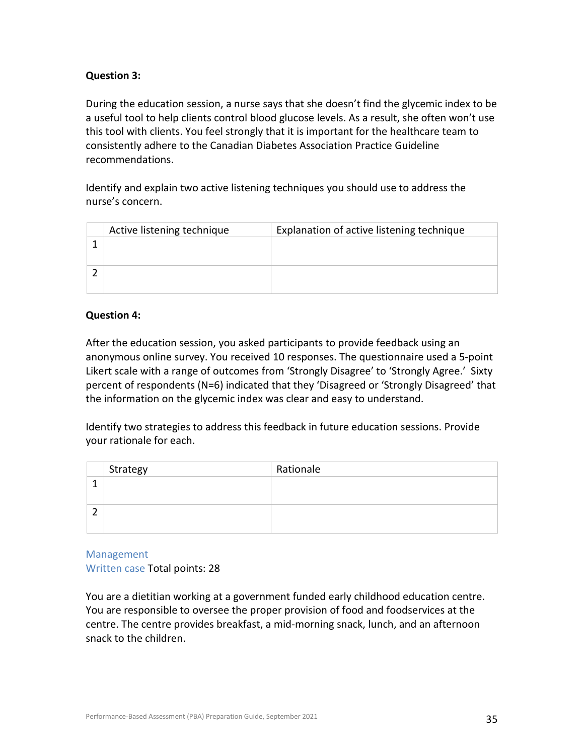## **Question 3:**

During the education session, a nurse says that she doesn't find the glycemic index to be a useful tool to help clients control blood glucose levels. As a result, she often won't use this tool with clients. You feel strongly that it is important for the healthcare team to consistently adhere to the Canadian Diabetes Association Practice Guideline recommendations.

Identify and explain two active listening techniques you should use to address the nurse's concern.

| Active listening technique | Explanation of active listening technique |
|----------------------------|-------------------------------------------|
|                            |                                           |
|                            |                                           |
|                            |                                           |
|                            |                                           |

## **Question 4:**

After the education session, you asked participants to provide feedback using an anonymous online survey. You received 10 responses. The questionnaire used a 5-point Likert scale with a range of outcomes from 'Strongly Disagree' to 'Strongly Agree.' Sixty percent of respondents (N=6) indicated that they 'Disagreed or 'Strongly Disagreed' that the information on the glycemic index was clear and easy to understand.

Identify two strategies to address this feedback in future education sessions. Provide your rationale for each.

|   | Strategy | Rationale |
|---|----------|-----------|
|   |          |           |
|   |          |           |
| ∽ |          |           |
|   |          |           |

Management Written case Total points: 28

You are a dietitian working at a government funded early childhood education centre. You are responsible to oversee the proper provision of food and foodservices at the centre. The centre provides breakfast, a mid-morning snack, lunch, and an afternoon snack to the children.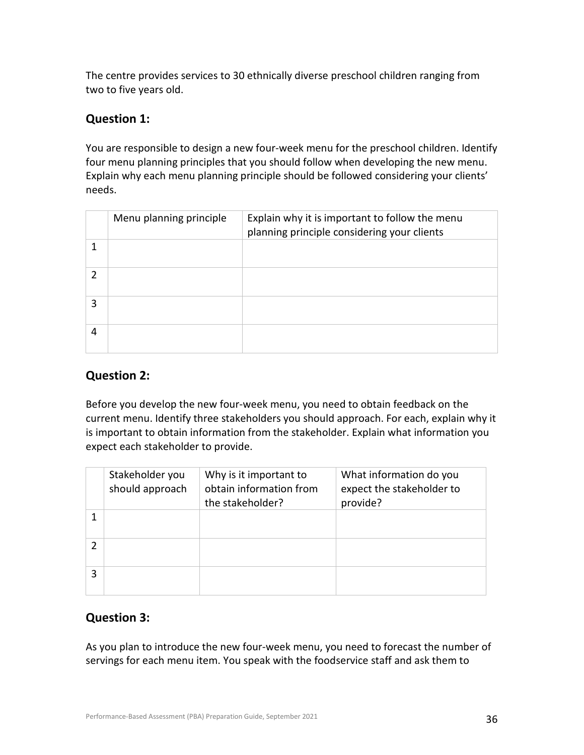The centre provides services to 30 ethnically diverse preschool children ranging from two to five years old.

## **Question 1:**

You are responsible to design a new four-week menu for the preschool children. Identify four menu planning principles that you should follow when developing the new menu. Explain why each menu planning principle should be followed considering your clients' needs.

|   | Menu planning principle | Explain why it is important to follow the menu<br>planning principle considering your clients |
|---|-------------------------|-----------------------------------------------------------------------------------------------|
|   |                         |                                                                                               |
|   |                         |                                                                                               |
| 3 |                         |                                                                                               |
| 4 |                         |                                                                                               |

## **Question 2:**

Before you develop the new four-week menu, you need to obtain feedback on the current menu. Identify three stakeholders you should approach. For each, explain why it is important to obtain information from the stakeholder. Explain what information you expect each stakeholder to provide.

|   | Stakeholder you<br>should approach | Why is it important to<br>obtain information from<br>the stakeholder? | What information do you<br>expect the stakeholder to<br>provide? |
|---|------------------------------------|-----------------------------------------------------------------------|------------------------------------------------------------------|
|   |                                    |                                                                       |                                                                  |
|   |                                    |                                                                       |                                                                  |
| 3 |                                    |                                                                       |                                                                  |

## **Question 3:**

As you plan to introduce the new four-week menu, you need to forecast the number of servings for each menu item. You speak with the foodservice staff and ask them to